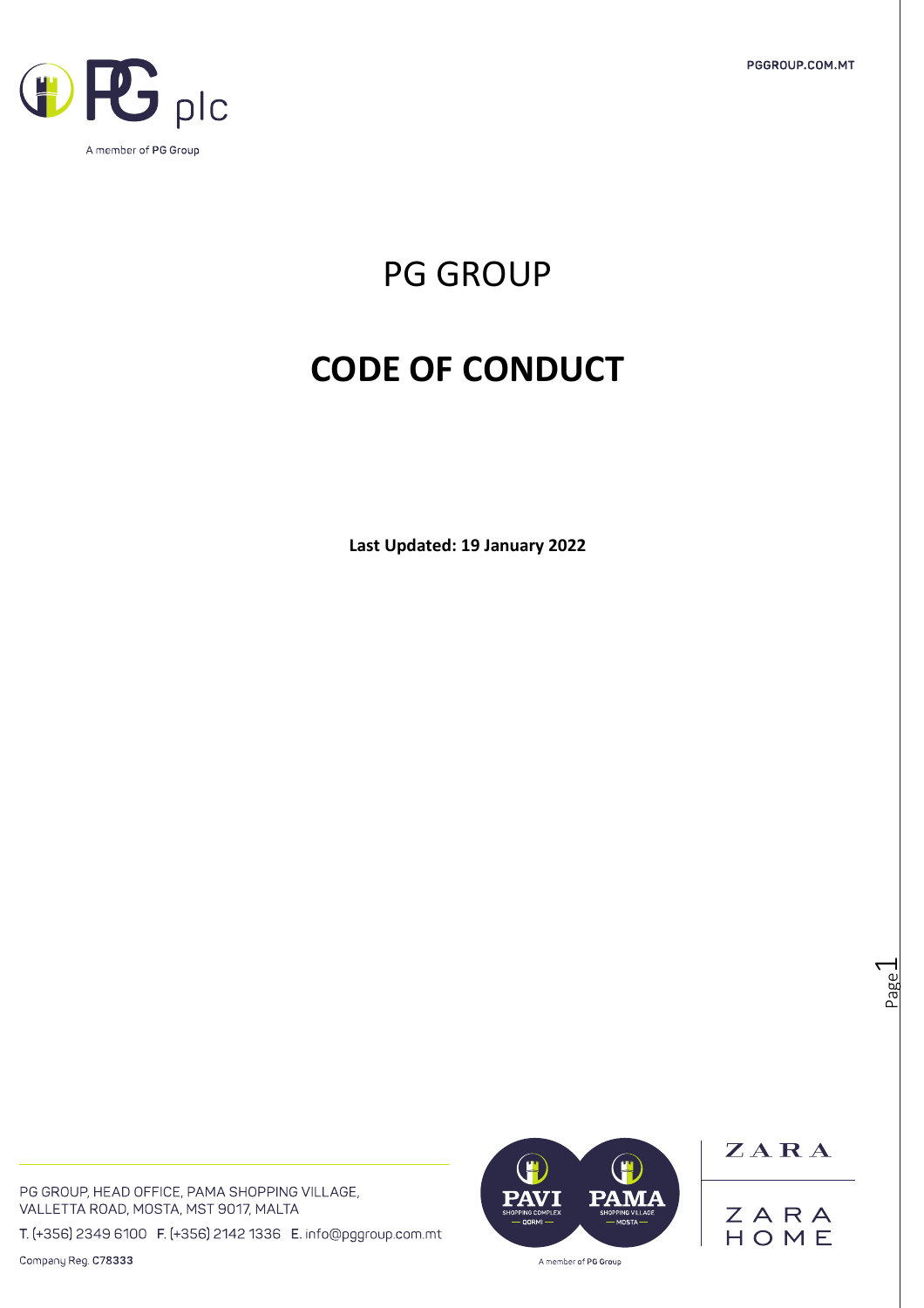PGGROUP.COM.MT



PG GROUP

# **CODE OF CONDUCT**

**Last Updated: 19 January 2022**

PG GROUP, HEAD OFFICE, PAMA SHOPPING VILLAGE, VALLETTA ROAD, MOSTA, MST 9017, MALTA

T. (+356) 2349 6100 F. (+356) 2142 1336 E. info@pggroup.com.mt

Company Reg. C78333



ZARA ZARA<br>HOME

Page  $\overline{\phantom{0}}$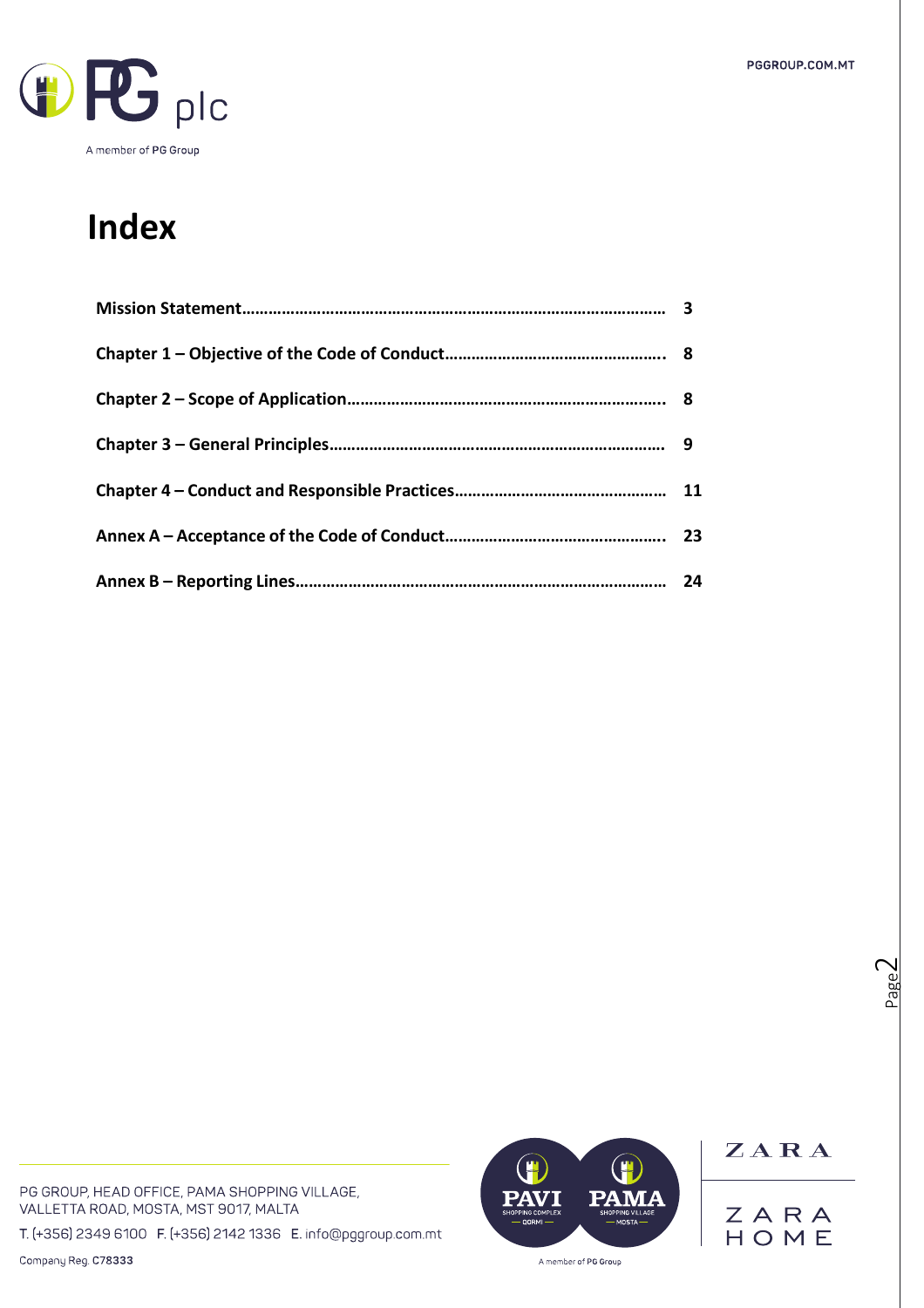

# **Index**

| 24 |
|----|

PG GROUP, HEAD OFFICE, PAMA SHOPPING VILLAGE, VALLETTA ROAD, MOSTA, MST 9017, MALTA

T. (+356) 2349 6100 F. (+356) 2142 1336 E. info@pggroup.com.mt

Company Reg. C78333



ZARA ZARA<br>HOME

Page  $\mathrel{\sim}$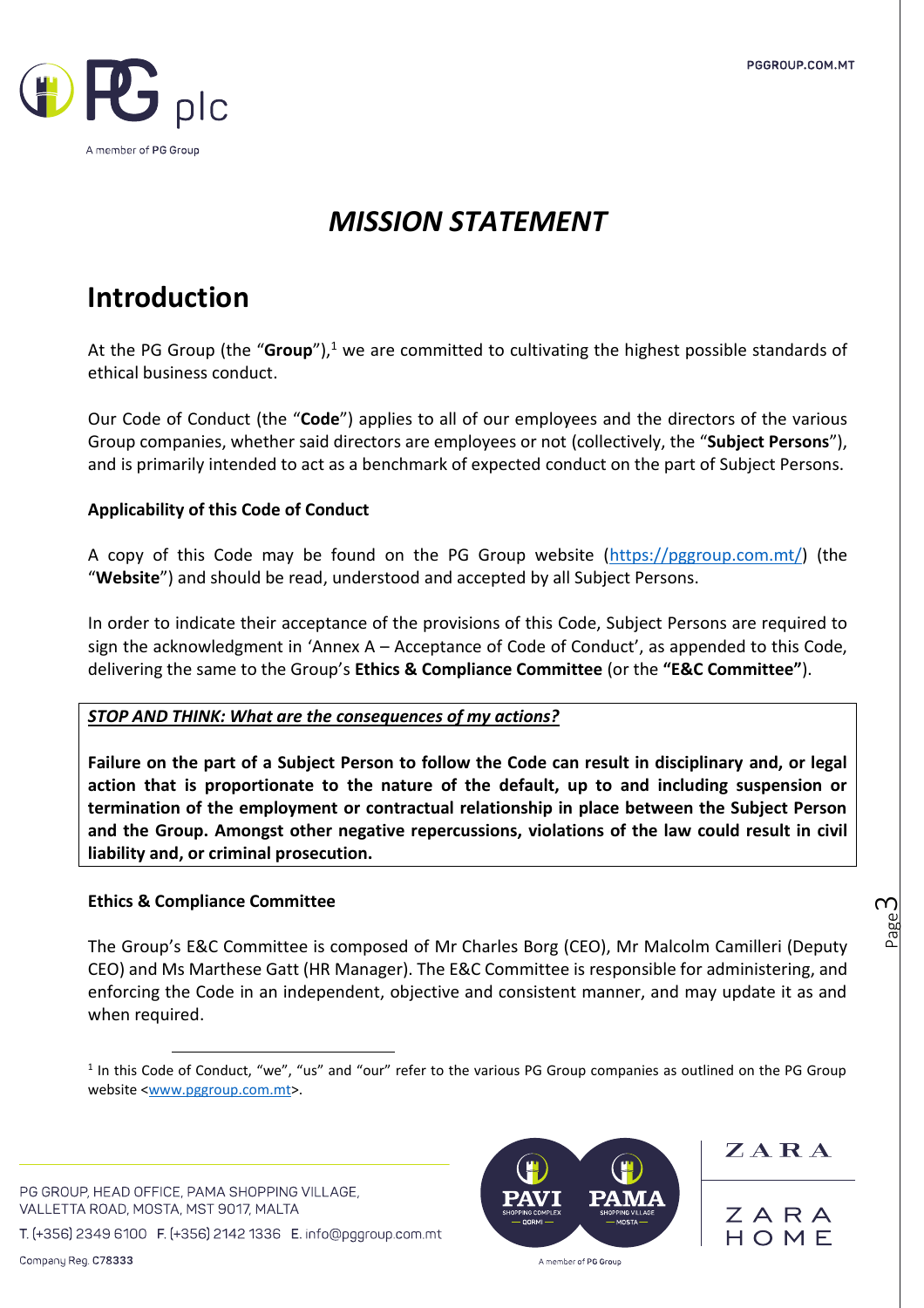

## *MISSION STATEMENT*

## **Introduction**

At the PG Group (the "**Group**"), <sup>1</sup> we are committed to cultivating the highest possible standards of ethical business conduct.

Our Code of Conduct (the "**Code**") applies to all of our employees and the directors of the various Group companies, whether said directors are employees or not (collectively, the "**Subject Persons**"), and is primarily intended to act as a benchmark of expected conduct on the part of Subject Persons.

### **Applicability of this Code of Conduct**

A copy of this Code may be found on the PG Group website [\(https://pggroup.com.mt/\)](https://pggroup.com.mt/) (the "**Website**") and should be read, understood and accepted by all Subject Persons.

In order to indicate their acceptance of the provisions of this Code, Subject Persons are required to sign the acknowledgment in 'Annex A – Acceptance of Code of Conduct', as appended to this Code, delivering the same to the Group's **Ethics & Compliance Committee** (or the **"E&C Committee"**).

### *STOP AND THINK: What are the consequences of my actions?*

**Failure on the part of a Subject Person to follow the Code can result in disciplinary and, or legal action that is proportionate to the nature of the default, up to and including suspension or termination of the employment or contractual relationship in place between the Subject Person and the Group. Amongst other negative repercussions, violations of the law could result in civil liability and, or criminal prosecution.**

### **Ethics & Compliance Committee**

The Group's E&C Committee is composed of Mr Charles Borg (CEO), Mr Malcolm Camilleri (Deputy CEO) and Ms Marthese Gatt (HR Manager). The E&C Committee is responsible for administering, and enforcing the Code in an independent, objective and consistent manner, and may update it as and when required.

PG GROUP, HEAD OFFICE, PAMA SHOPPING VILLAGE, VALLETTA ROAD, MOSTA, MST 9017, MALTA

T. (+356) 2349 6100 F. (+356) 2142 1336 E. info@pggroup.com.mt



ZARA

ZARA HOME

<sup>&</sup>lt;sup>1</sup> In this Code of Conduct, "we", "us" and "our" refer to the various PG Group companies as outlined on the PG Group website [<www.pggroup.com.mt>](http://www.pggroup.com.mt/).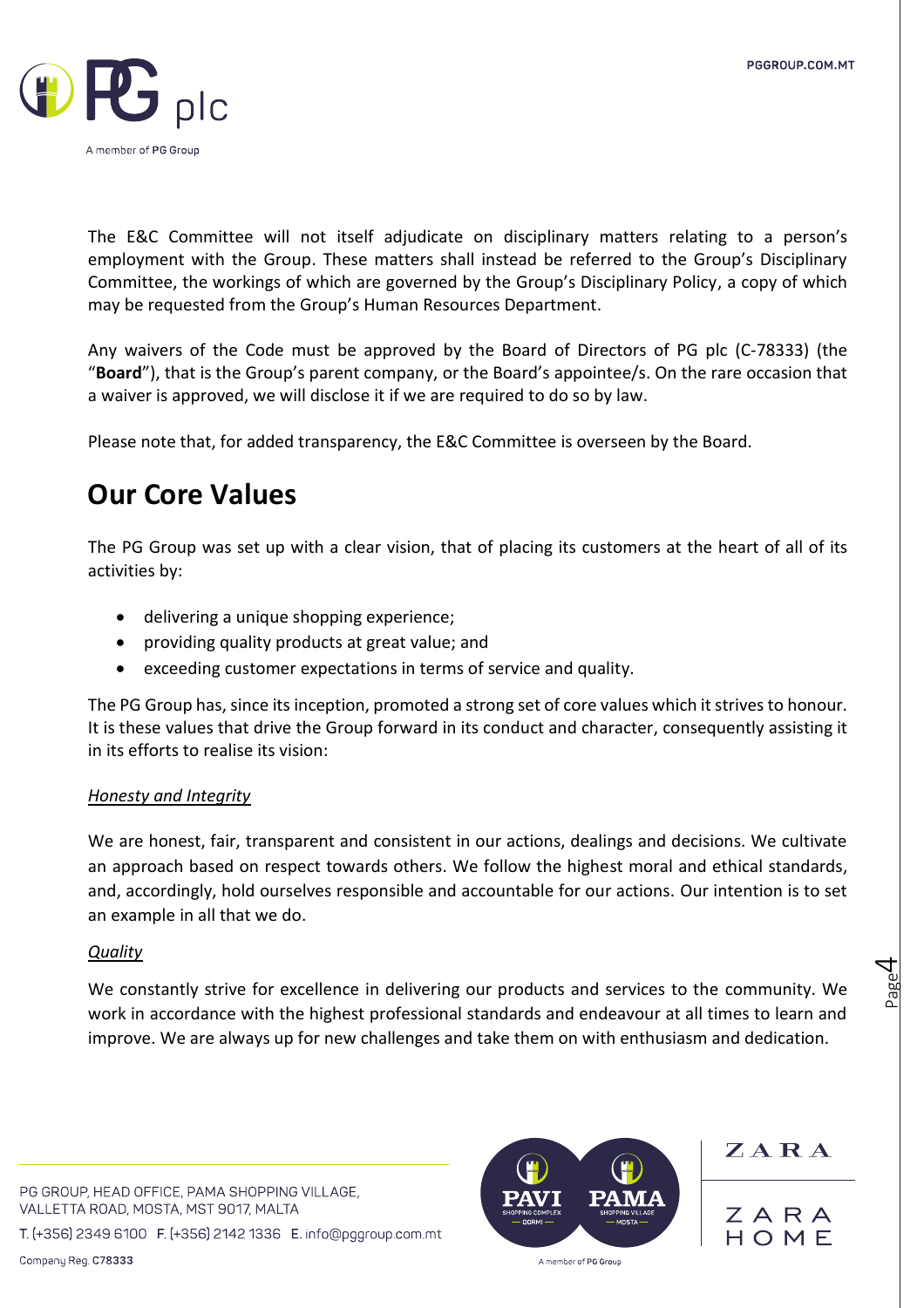

The E&C Committee will not itself adjudicate on disciplinary matters relating to a person's employment with the Group. These matters shall instead be referred to the Group's Disciplinary Committee, the workings of which are governed by the Group's Disciplinary Policy, a copy of which may be requested from the Group's Human Resources Department.

Any waivers of the Code must be approved by the Board of Directors of PG plc (C-78333) (the "**Board**"), that is the Group's parent company, or the Board's appointee/s. On the rare occasion that a waiver is approved, we will disclose it if we are required to do so by law.

Please note that, for added transparency, the E&C Committee is overseen by the Board.

## **Our Core Values**

The PG Group was set up with a clear vision, that of placing its customers at the heart of all of its activities by:

- delivering a unique shopping experience;
- providing quality products at great value; and
- exceeding customer expectations in terms of service and quality.

The PG Group has, since its inception, promoted a strong set of core values which it strives to honour. It is these values that drive the Group forward in its conduct and character, consequently assisting it in its efforts to realise its vision:

### *Honesty and Integrity*

We are honest, fair, transparent and consistent in our actions, dealings and decisions. We cultivate an approach based on respect towards others. We follow the highest moral and ethical standards, and, accordingly, hold ourselves responsible and accountable for our actions. Our intention is to set an example in all that we do.

### *Quality*

We constantly strive for excellence in delivering our products and services to the community. We work in accordance with the highest professional standards and endeavour at all times to learn and improve. We are always up for new challenges and take them on with enthusiasm and dedication.

PG GROUP, HEAD OFFICE, PAMA SHOPPING VILLAGE, VALLETTA ROAD, MOSTA, MST 9017, MALTA

T. (+356) 2349 6100 F. (+356) 2142 1336 E. info@pggroup.com.mt



ZARA

Page 4

ZARA HOMF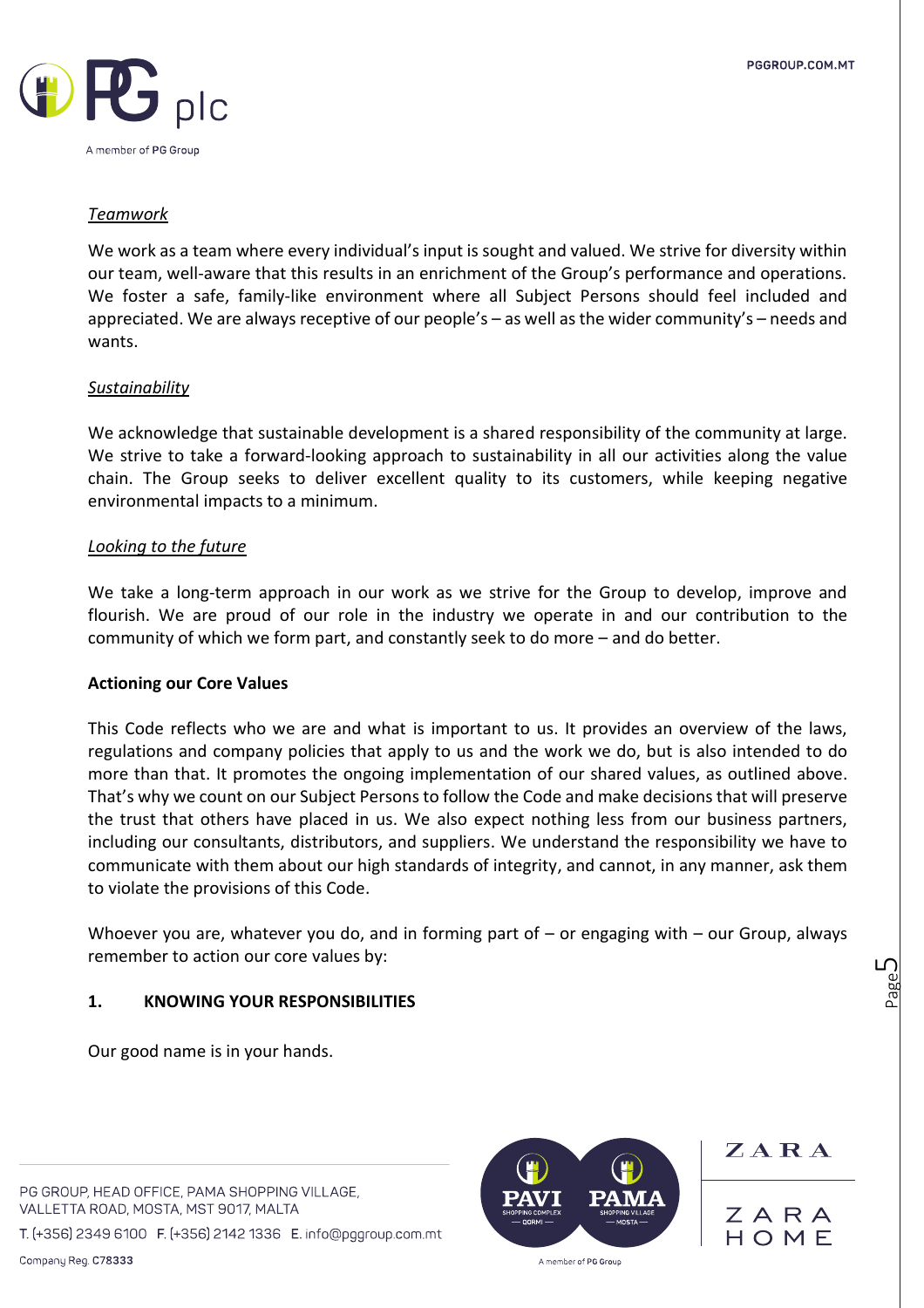

#### *Teamwork*

We work as a team where every individual's input is sought and valued. We strive for diversity within our team, well-aware that this results in an enrichment of the Group's performance and operations. We foster a safe, family-like environment where all Subject Persons should feel included and appreciated. We are always receptive of our people's – as well as the wider community's – needs and wants.

#### *Sustainability*

We acknowledge that sustainable development is a shared responsibility of the community at large. We strive to take a forward-looking approach to sustainability in all our activities along the value chain. The Group seeks to deliver excellent quality to its customers, while keeping negative environmental impacts to a minimum.

#### *Looking to the future*

We take a long-term approach in our work as we strive for the Group to develop, improve and flourish. We are proud of our role in the industry we operate in and our contribution to the community of which we form part, and constantly seek to do more – and do better.

#### **Actioning our Core Values**

This Code reflects who we are and what is important to us. It provides an overview of the laws, regulations and company policies that apply to us and the work we do, but is also intended to do more than that. It promotes the ongoing implementation of our shared values, as outlined above. That's why we count on our Subject Persons to follow the Code and make decisions that will preserve the trust that others have placed in us. We also expect nothing less from our business partners, including our consultants, distributors, and suppliers. We understand the responsibility we have to communicate with them about our high standards of integrity, and cannot, in any manner, ask them to violate the provisions of this Code.

Whoever you are, whatever you do, and in forming part of – or engaging with – our Group, always remember to action our core values by:

#### **1. KNOWING YOUR RESPONSIBILITIES**

Our good name is in your hands.

PG GROUP, HEAD OFFICE, PAMA SHOPPING VILLAGE, VALLETTA ROAD, MOSTA, MST 9017, MALTA

T. (+356) 2349 6100 F. (+356) 2142 1336 E. info@pggroup.com.mt



ZARA

Page ഥ

ZARA HOME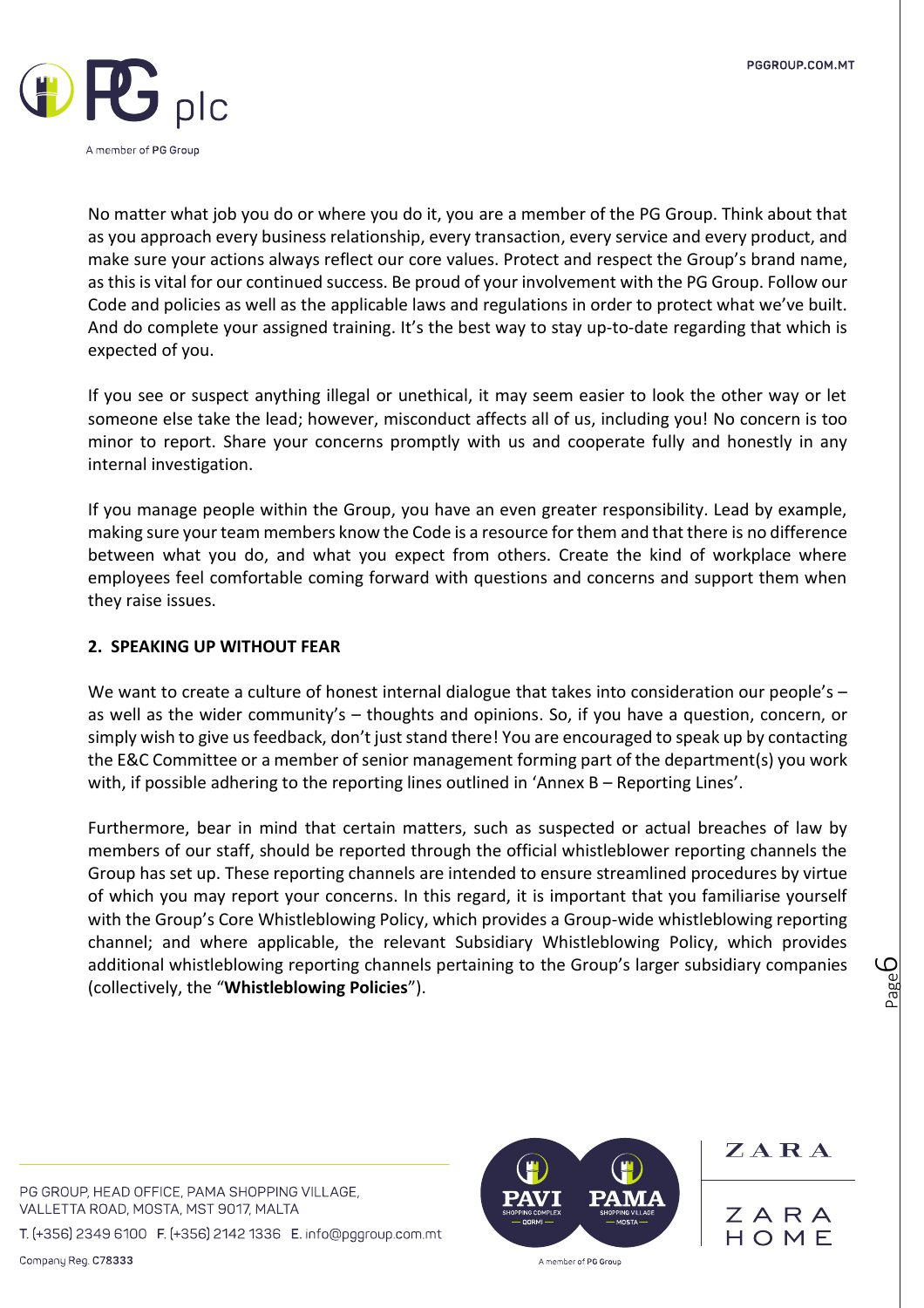

No matter what job you do or where you do it, you are a member of the PG Group. Think about that as you approach every business relationship, every transaction, every service and every product, and make sure your actions always reflect our core values. Protect and respect the Group's brand name, as this is vital for our continued success. Be proud of your involvement with the PG Group. Follow our Code and policies as well as the applicable laws and regulations in order to protect what we've built. And do complete your assigned training. It's the best way to stay up-to-date regarding that which is expected of you.

If you see or suspect anything illegal or unethical, it may seem easier to look the other way or let someone else take the lead; however, misconduct affects all of us, including you! No concern is too minor to report. Share your concerns promptly with us and cooperate fully and honestly in any internal investigation.

If you manage people within the Group, you have an even greater responsibility. Lead by example, making sure your team members know the Code is a resource for them and that there is no difference between what you do, and what you expect from others. Create the kind of workplace where employees feel comfortable coming forward with questions and concerns and support them when they raise issues.

### **2. SPEAKING UP WITHOUT FEAR**

We want to create a culture of honest internal dialogue that takes into consideration our people's as well as the wider community's – thoughts and opinions. So, if you have a question, concern, or simply wish to give us feedback, don't just stand there! You are encouraged to speak up by contacting the E&C Committee or a member of senior management forming part of the department(s) you work with, if possible adhering to the reporting lines outlined in 'Annex B – Reporting Lines'.

Furthermore, bear in mind that certain matters, such as suspected or actual breaches of law by members of our staff, should be reported through the official whistleblower reporting channels the Group has set up. These reporting channels are intended to ensure streamlined procedures by virtue of which you may report your concerns. In this regard, it is important that you familiarise yourself with the Group's Core Whistleblowing Policy, which provides a Group-wide whistleblowing reporting channel; and where applicable, the relevant Subsidiary Whistleblowing Policy, which provides additional whistleblowing reporting channels pertaining to the Group's larger subsidiary companies (collectively, the "**Whistleblowing Policies**").

PG GROUP, HEAD OFFICE, PAMA SHOPPING VILLAGE, VALLETTA ROAD, MOSTA, MST 9017, MALTA

T. (+356) 2349 6100 F. (+356) 2142 1336 E. info@pggroup.com.mt



ZARA ZARA

HOMF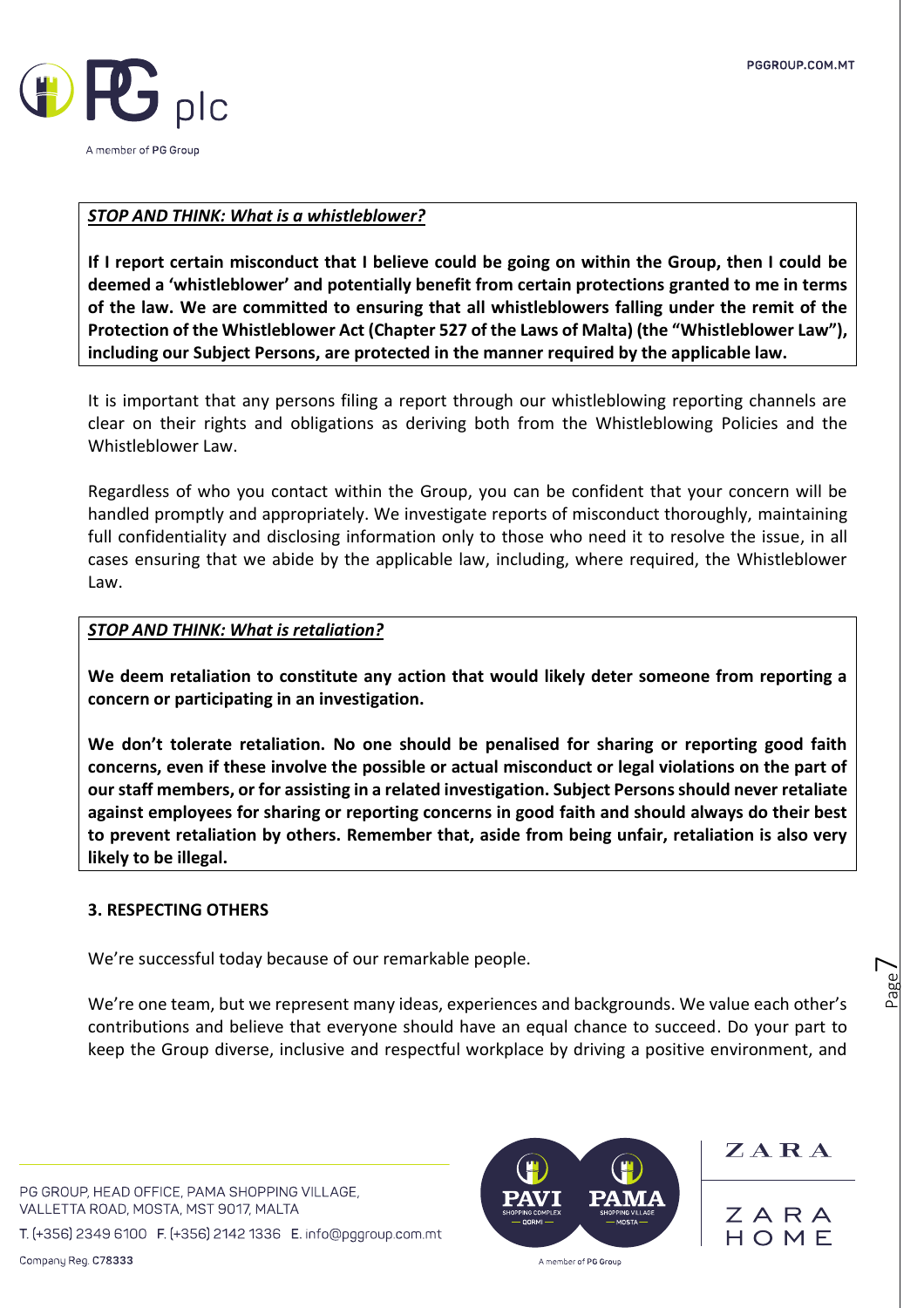

#### *STOP AND THINK: What is a whistleblower?*

**If I report certain misconduct that I believe could be going on within the Group, then I could be deemed a 'whistleblower' and potentially benefit from certain protections granted to me in terms of the law. We are committed to ensuring that all whistleblowers falling under the remit of the Protection of the Whistleblower Act (Chapter 527 of the Laws of Malta) (the "Whistleblower Law"), including our Subject Persons, are protected in the manner required by the applicable law.** 

It is important that any persons filing a report through our whistleblowing reporting channels are clear on their rights and obligations as deriving both from the Whistleblowing Policies and the Whistleblower Law.

Regardless of who you contact within the Group, you can be confident that your concern will be handled promptly and appropriately. We investigate reports of misconduct thoroughly, maintaining full confidentiality and disclosing information only to those who need it to resolve the issue, in all cases ensuring that we abide by the applicable law, including, where required, the Whistleblower Law.

#### *STOP AND THINK: What is retaliation?*

**We deem retaliation to constitute any action that would likely deter someone from reporting a concern or participating in an investigation.** 

**We don't tolerate retaliation. No one should be penalised for sharing or reporting good faith concerns, even if these involve the possible or actual misconduct or legal violations on the part of our staff members, or for assisting in a related investigation. Subject Persons should never retaliate against employees for sharing or reporting concerns in good faith and should always do their best to prevent retaliation by others. Remember that, aside from being unfair, retaliation is also very likely to be illegal.** 

#### **3. RESPECTING OTHERS**

We're successful today because of our remarkable people.

We're one team, but we represent many ideas, experiences and backgrounds. We value each other's contributions and believe that everyone should have an equal chance to succeed. Do your part to keep the Group diverse, inclusive and respectful workplace by driving a positive environment, and

PG GROUP, HEAD OFFICE, PAMA SHOPPING VILLAGE, VALLETTA ROAD, MOSTA, MST 9017, MALTA

T. (+356) 2349 6100 F. (+356) 2142 1336 E. info@pggroup.com.mt



 $Z A R A$ 

Page  $\overline{\phantom{1}}$ 

ZARA HOME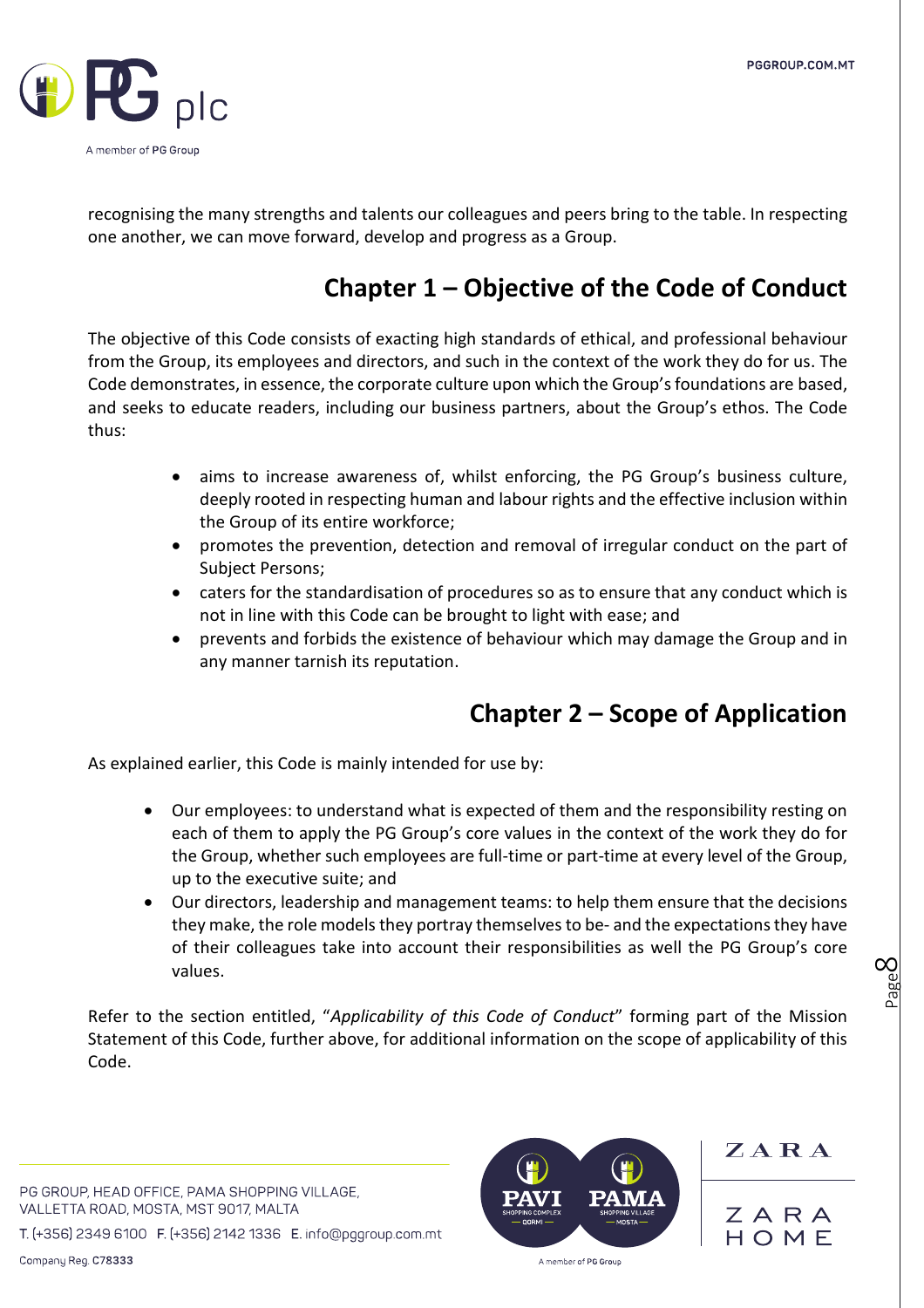

recognising the many strengths and talents our colleagues and peers bring to the table. In respecting one another, we can move forward, develop and progress as a Group.

### **Chapter 1 – Objective of the Code of Conduct**

The objective of this Code consists of exacting high standards of ethical, and professional behaviour from the Group, its employees and directors, and such in the context of the work they do for us. The Code demonstrates, in essence, the corporate culture upon which the Group's foundations are based, and seeks to educate readers, including our business partners, about the Group's ethos. The Code thus:

- aims to increase awareness of, whilst enforcing, the PG Group's business culture, deeply rooted in respecting human and labour rights and the effective inclusion within the Group of its entire workforce;
- promotes the prevention, detection and removal of irregular conduct on the part of Subject Persons;
- caters for the standardisation of procedures so as to ensure that any conduct which is not in line with this Code can be brought to light with ease; and
- prevents and forbids the existence of behaviour which may damage the Group and in any manner tarnish its reputation.

### **Chapter 2 – Scope of Application**

As explained earlier, this Code is mainly intended for use by:

- Our employees: to understand what is expected of them and the responsibility resting on each of them to apply the PG Group's core values in the context of the work they do for the Group, whether such employees are full-time or part-time at every level of the Group, up to the executive suite; and
- Our directors, leadership and management teams: to help them ensure that the decisions they make, the role models they portray themselves to be- and the expectations they have of their colleagues take into account their responsibilities as well the PG Group's core values.

Refer to the section entitled, "*Applicability of this Code of Conduct*" forming part of the Mission Statement of this Code, further above, for additional information on the scope of applicability of this Code.

PG GROUP, HEAD OFFICE, PAMA SHOPPING VILLAGE, VALLETTA ROAD, MOSTA, MST 9017, MALTA

T. (+356) 2349 6100 F. (+356) 2142 1336 E. info@pggroup.com.mt



ZARA

Page  $\infty$ 

ZARA HOME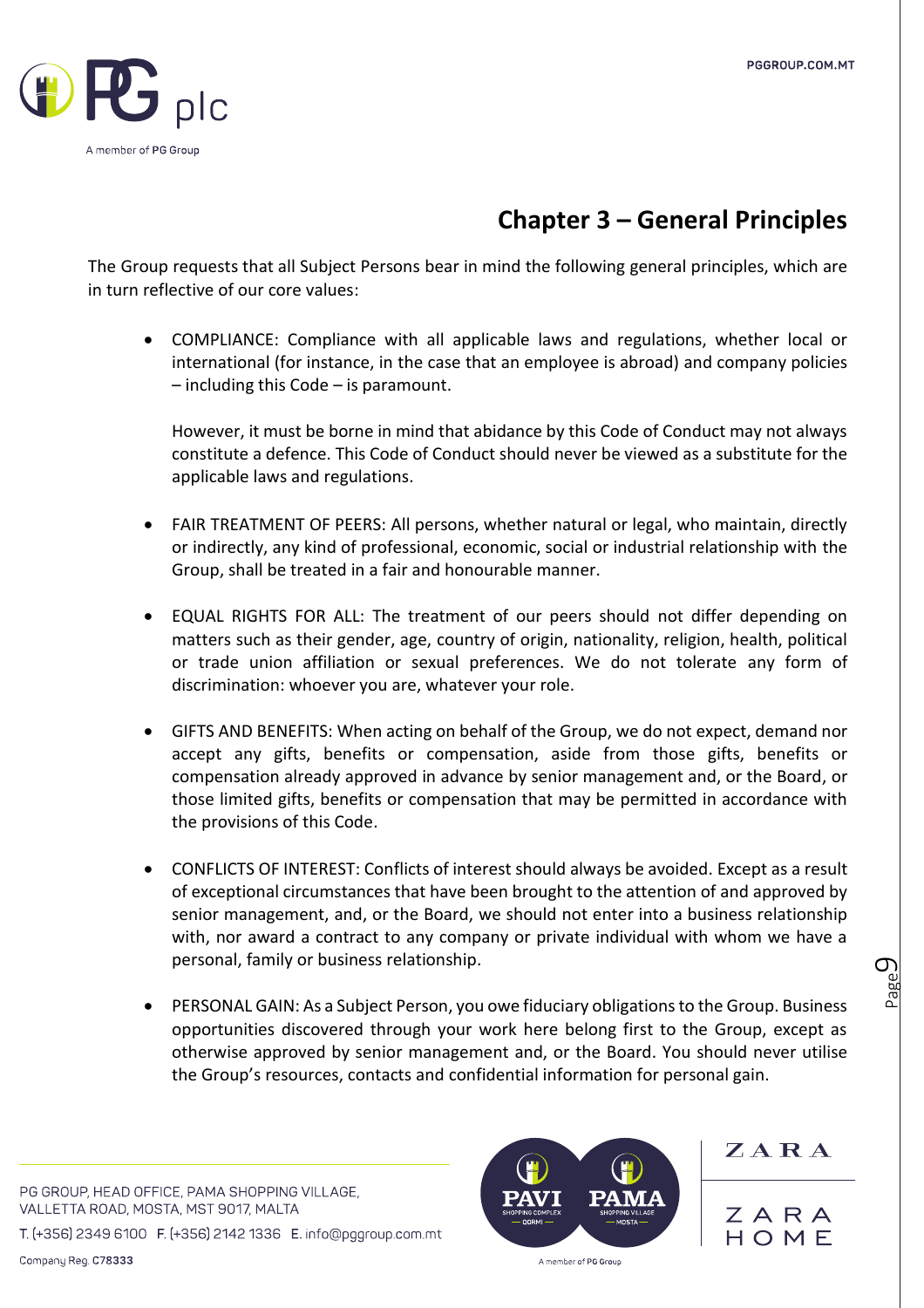

### **Chapter 3 – General Principles**

The Group requests that all Subject Persons bear in mind the following general principles, which are in turn reflective of our core values:

• COMPLIANCE: Compliance with all applicable laws and regulations, whether local or international (for instance, in the case that an employee is abroad) and company policies – including this Code – is paramount.

However, it must be borne in mind that abidance by this Code of Conduct may not always constitute a defence. This Code of Conduct should never be viewed as a substitute for the applicable laws and regulations.

- FAIR TREATMENT OF PEERS: All persons, whether natural or legal, who maintain, directly or indirectly, any kind of professional, economic, social or industrial relationship with the Group, shall be treated in a fair and honourable manner.
- EQUAL RIGHTS FOR ALL: The treatment of our peers should not differ depending on matters such as their gender, age, country of origin, nationality, religion, health, political or trade union affiliation or sexual preferences. We do not tolerate any form of discrimination: whoever you are, whatever your role.
- GIFTS AND BENEFITS: When acting on behalf of the Group, we do not expect, demand nor accept any gifts, benefits or compensation, aside from those gifts, benefits or compensation already approved in advance by senior management and, or the Board, or those limited gifts, benefits or compensation that may be permitted in accordance with the provisions of this Code.
- CONFLICTS OF INTEREST: Conflicts of interest should always be avoided. Except as a result of exceptional circumstances that have been brought to the attention of and approved by senior management, and, or the Board, we should not enter into a business relationship with, nor award a contract to any company or private individual with whom we have a personal, family or business relationship.
- PERSONAL GAIN: As a Subject Person, you owe fiduciary obligations to the Group. Business opportunities discovered through your work here belong first to the Group, except as otherwise approved by senior management and, or the Board. You should never utilise the Group's resources, contacts and confidential information for personal gain.

PG GROUP, HEAD OFFICE, PAMA SHOPPING VILLAGE, VALLETTA ROAD, MOSTA, MST 9017, MALTA

T. (+356) 2349 6100 F. (+356) 2142 1336 E. info@pggroup.com.mt



ZARA

Page  $\mathcal O$ 

ZARA HOME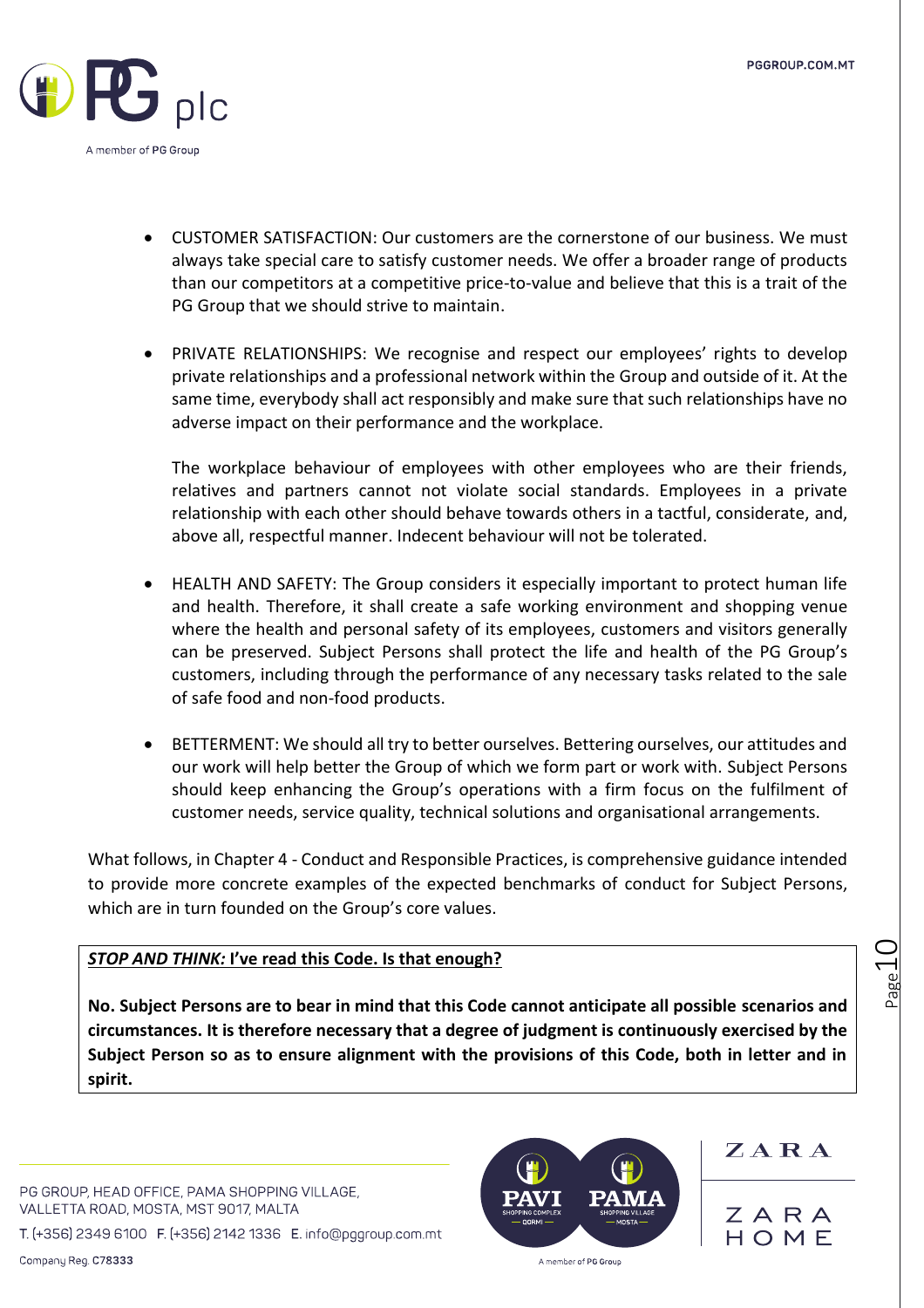

- CUSTOMER SATISFACTION: Our customers are the cornerstone of our business. We must always take special care to satisfy customer needs. We offer a broader range of products than our competitors at a competitive price-to-value and believe that this is a trait of the PG Group that we should strive to maintain.
- PRIVATE RELATIONSHIPS: We recognise and respect our employees' rights to develop private relationships and a professional network within the Group and outside of it. At the same time, everybody shall act responsibly and make sure that such relationships have no adverse impact on their performance and the workplace.

The workplace behaviour of employees with other employees who are their friends, relatives and partners cannot not violate social standards. Employees in a private relationship with each other should behave towards others in a tactful, considerate, and, above all, respectful manner. Indecent behaviour will not be tolerated.

- HEALTH AND SAFETY: The Group considers it especially important to protect human life and health. Therefore, it shall create a safe working environment and shopping venue where the health and personal safety of its employees, customers and visitors generally can be preserved. Subject Persons shall protect the life and health of the PG Group's customers, including through the performance of any necessary tasks related to the sale of safe food and non-food products.
- BETTERMENT: We should all try to better ourselves. Bettering ourselves, our attitudes and our work will help better the Group of which we form part or work with. Subject Persons should keep enhancing the Group's operations with a firm focus on the fulfilment of customer needs, service quality, technical solutions and organisational arrangements.

What follows, in Chapter 4 - Conduct and Responsible Practices, is comprehensive guidance intended to provide more concrete examples of the expected benchmarks of conduct for Subject Persons, which are in turn founded on the Group's core values.

### *STOP AND THINK:* **I've read this Code. Is that enough?**

**No. Subject Persons are to bear in mind that this Code cannot anticipate all possible scenarios and circumstances. It is therefore necessary that a degree of judgment is continuously exercised by the Subject Person so as to ensure alignment with the provisions of this Code, both in letter and in spirit.** 

PG GROUP, HEAD OFFICE, PAMA SHOPPING VILLAGE, VALLETTA ROAD, MOSTA, MST 9017, MALTA

T. (+356) 2349 6100 F. (+356) 2142 1336 E. info@pggroup.com.mt



ZARA

ZARA HOME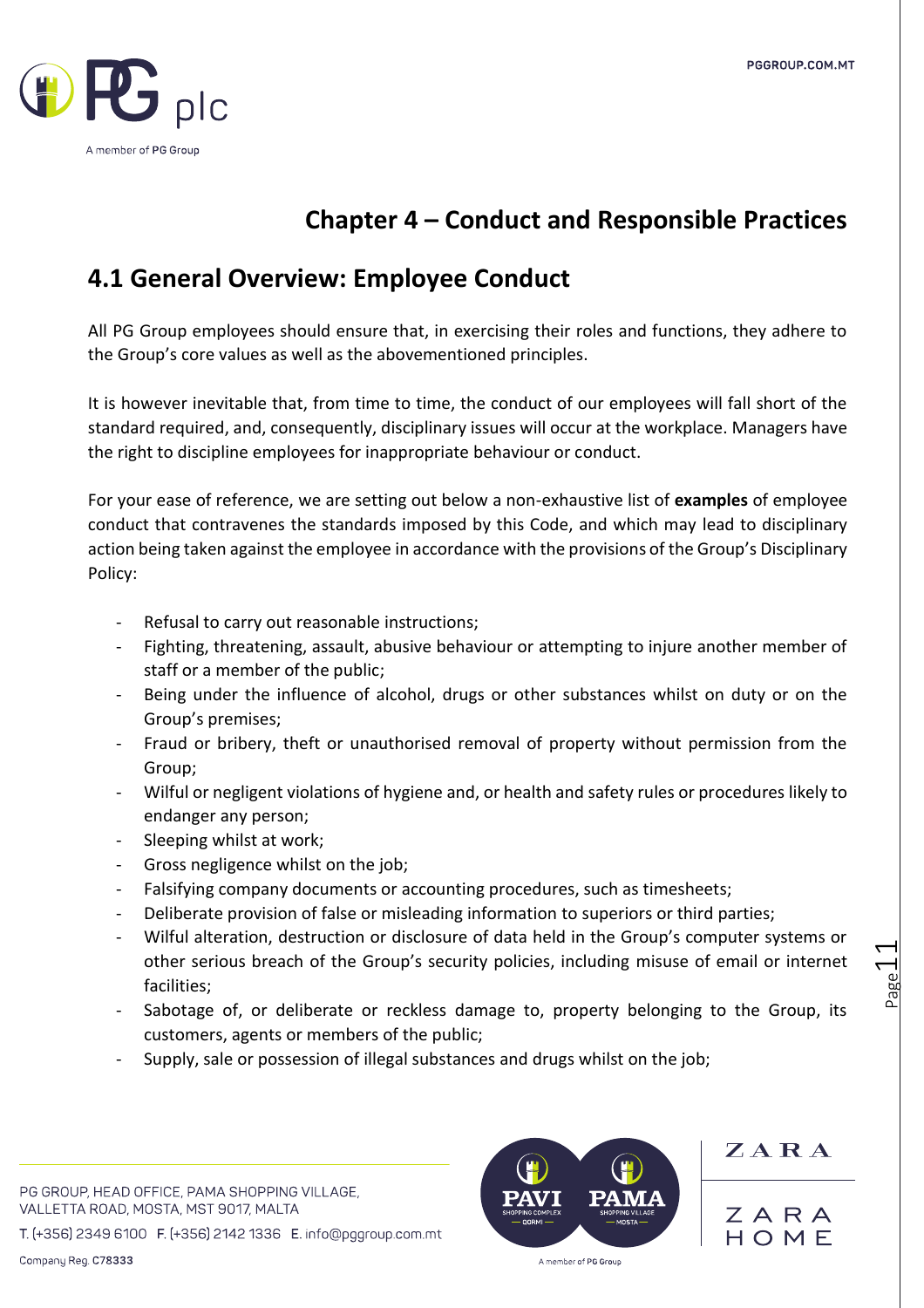

### **Chapter 4 – Conduct and Responsible Practices**

### **4.1 General Overview: Employee Conduct**

All PG Group employees should ensure that, in exercising their roles and functions, they adhere to the Group's core values as well as the abovementioned principles.

It is however inevitable that, from time to time, the conduct of our employees will fall short of the standard required, and, consequently, disciplinary issues will occur at the workplace. Managers have the right to discipline employees for inappropriate behaviour or conduct.

For your ease of reference, we are setting out below a non-exhaustive list of **examples** of employee conduct that contravenes the standards imposed by this Code, and which may lead to disciplinary action being taken against the employee in accordance with the provisions of the Group's Disciplinary Policy:

- Refusal to carry out reasonable instructions;
- Fighting, threatening, assault, abusive behaviour or attempting to injure another member of staff or a member of the public;
- Being under the influence of alcohol, drugs or other substances whilst on duty or on the Group's premises;
- Fraud or bribery, theft or unauthorised removal of property without permission from the Group;
- Wilful or negligent violations of hygiene and, or health and safety rules or procedures likely to endanger any person;
- Sleeping whilst at work;
- Gross negligence whilst on the job;
- Falsifying company documents or accounting procedures, such as timesheets;
- Deliberate provision of false or misleading information to superiors or third parties;
- Wilful alteration, destruction or disclosure of data held in the Group's computer systems or other serious breach of the Group's security policies, including misuse of email or internet facilities;
- Sabotage of, or deliberate or reckless damage to, property belonging to the Group, its customers, agents or members of the public;
- Supply, sale or possession of illegal substances and drugs whilst on the job;

PG GROUP, HEAD OFFICE, PAMA SHOPPING VILLAGE, VALLETTA ROAD, MOSTA, MST 9017, MALTA

T. (+356) 2349 6100 F. (+356) 2142 1336 E. info@pggroup.com.mt

A member of PG Group

ZARA

ZARA

HOMF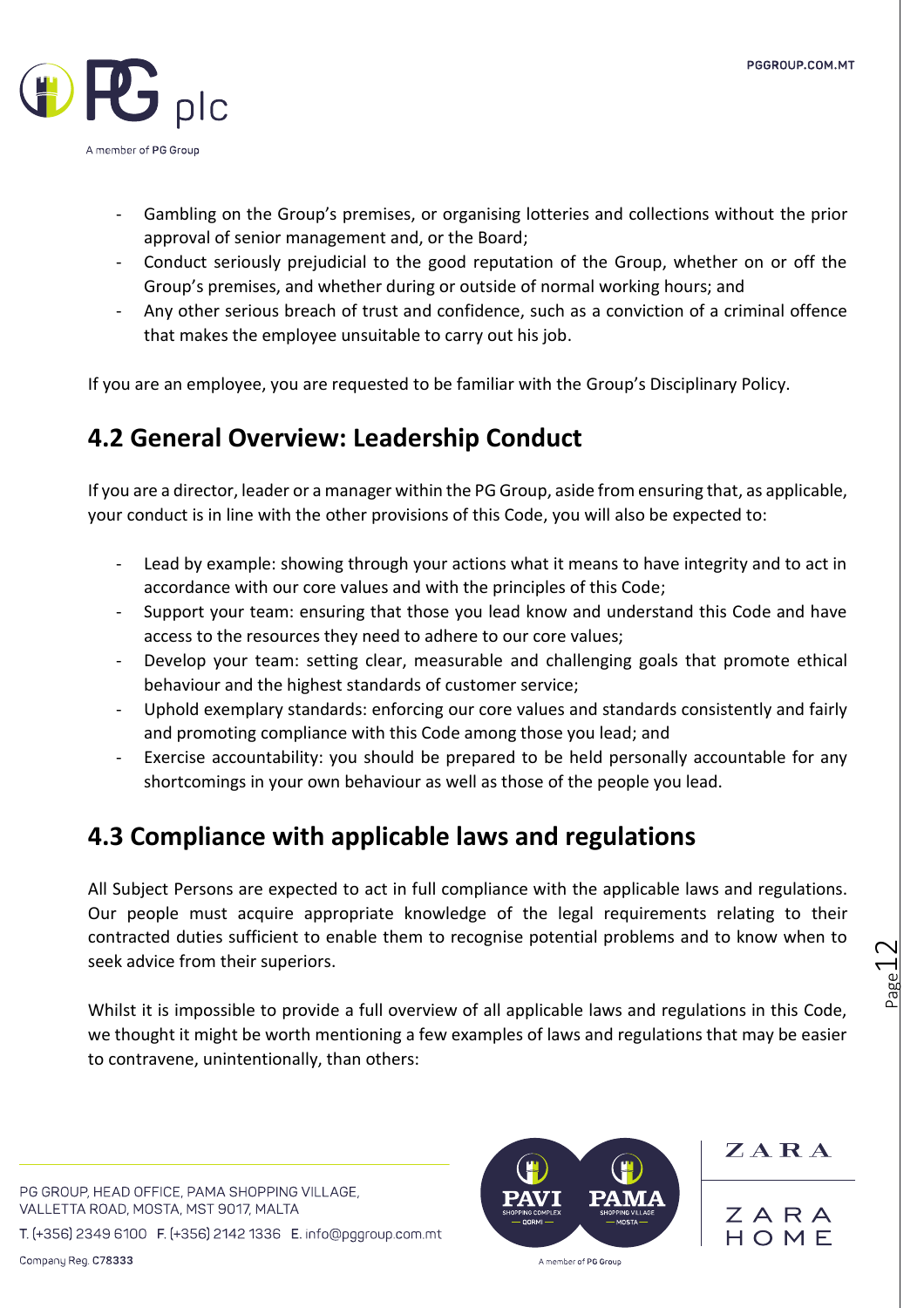

- Gambling on the Group's premises, or organising lotteries and collections without the prior approval of senior management and, or the Board;
- Conduct seriously prejudicial to the good reputation of the Group, whether on or off the Group's premises, and whether during or outside of normal working hours; and
- Any other serious breach of trust and confidence, such as a conviction of a criminal offence that makes the employee unsuitable to carry out his job.

If you are an employee, you are requested to be familiar with the Group's Disciplinary Policy.

### **4.2 General Overview: Leadership Conduct**

If you are a director, leader or a manager within the PG Group, aside from ensuring that, as applicable, your conduct is in line with the other provisions of this Code, you will also be expected to:

- Lead by example: showing through your actions what it means to have integrity and to act in accordance with our core values and with the principles of this Code;
- Support your team: ensuring that those you lead know and understand this Code and have access to the resources they need to adhere to our core values;
- Develop your team: setting clear, measurable and challenging goals that promote ethical behaviour and the highest standards of customer service;
- Uphold exemplary standards: enforcing our core values and standards consistently and fairly and promoting compliance with this Code among those you lead; and
- Exercise accountability: you should be prepared to be held personally accountable for any shortcomings in your own behaviour as well as those of the people you lead.

### **4.3 Compliance with applicable laws and regulations**

All Subject Persons are expected to act in full compliance with the applicable laws and regulations. Our people must acquire appropriate knowledge of the legal requirements relating to their contracted duties sufficient to enable them to recognise potential problems and to know when to seek advice from their superiors.

Whilst it is impossible to provide a full overview of all applicable laws and regulations in this Code, we thought it might be worth mentioning a few examples of laws and regulations that may be easier to contravene, unintentionally, than others:

PG GROUP, HEAD OFFICE, PAMA SHOPPING VILLAGE, VALLETTA ROAD, MOSTA, MST 9017, MALTA

T. (+356) 2349 6100 F. (+356) 2142 1336 E. info@pggroup.com.mt



ZARA

ZARA HOMF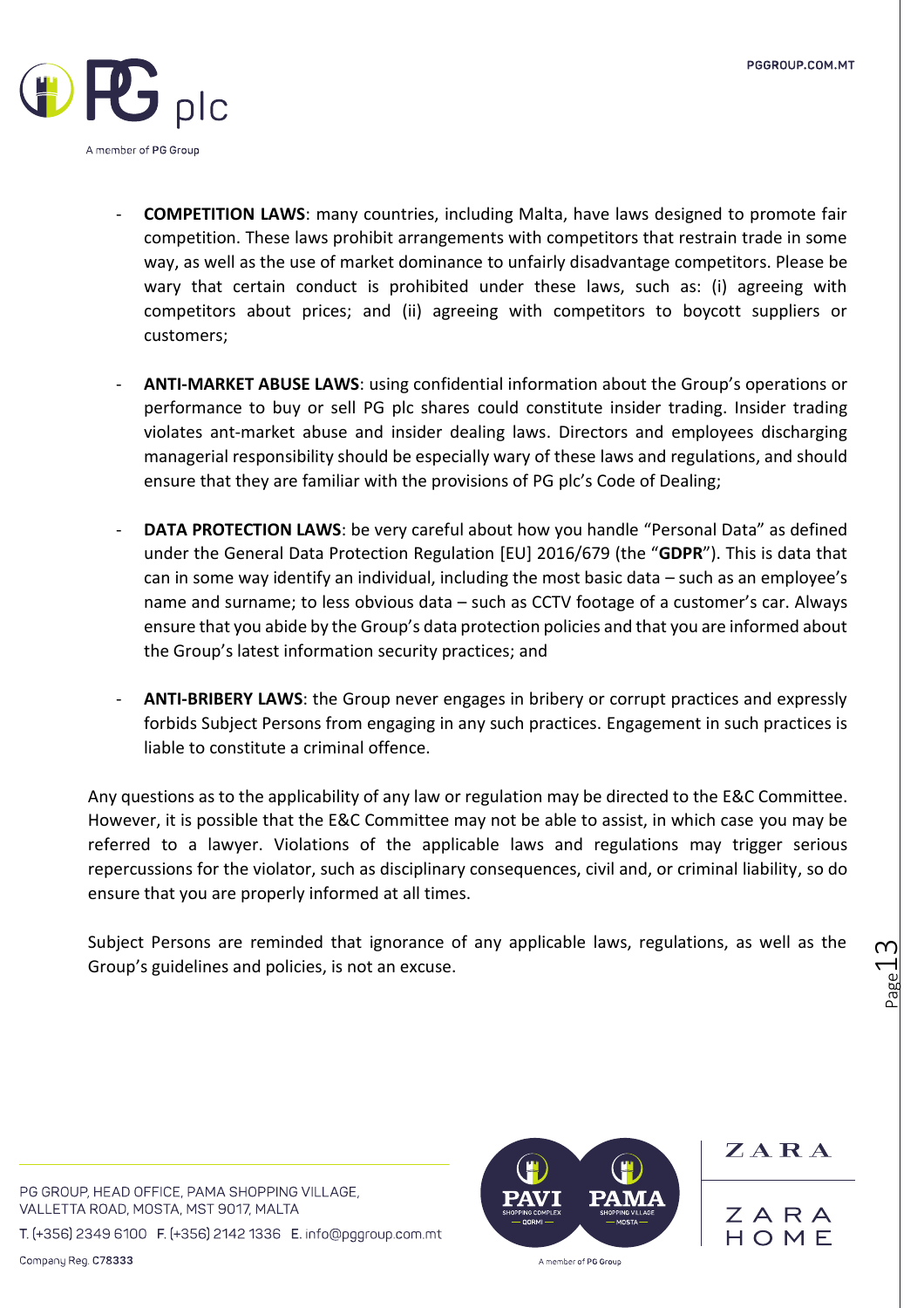

- **COMPETITION LAWS**: many countries, including Malta, have laws designed to promote fair competition. These laws prohibit arrangements with competitors that restrain trade in some way, as well as the use of market dominance to unfairly disadvantage competitors. Please be wary that certain conduct is prohibited under these laws, such as: (i) agreeing with competitors about prices; and (ii) agreeing with competitors to boycott suppliers or customers;
- **ANTI-MARKET ABUSE LAWS**: using confidential information about the Group's operations or performance to buy or sell PG plc shares could constitute insider trading. Insider trading violates ant-market abuse and insider dealing laws. Directors and employees discharging managerial responsibility should be especially wary of these laws and regulations, and should ensure that they are familiar with the provisions of PG plc's Code of Dealing;
- **DATA PROTECTION LAWS:** be very careful about how you handle "Personal Data" as defined under the General Data Protection Regulation [EU] 2016/679 (the "**GDPR**"). This is data that can in some way identify an individual, including the most basic data – such as an employee's name and surname; to less obvious data – such as CCTV footage of a customer's car. Always ensure that you abide by the Group's data protection policies and that you are informed about the Group's latest information security practices; and
- **ANTI-BRIBERY LAWS**: the Group never engages in bribery or corrupt practices and expressly forbids Subject Persons from engaging in any such practices. Engagement in such practices is liable to constitute a criminal offence.

Any questions as to the applicability of any law or regulation may be directed to the E&C Committee. However, it is possible that the E&C Committee may not be able to assist, in which case you may be referred to a lawyer. Violations of the applicable laws and regulations may trigger serious repercussions for the violator, such as disciplinary consequences, civil and, or criminal liability, so do ensure that you are properly informed at all times.

Subject Persons are reminded that ignorance of any applicable laws, regulations, as well as the Group's guidelines and policies, is not an excuse.

PG GROUP, HEAD OFFICE, PAMA SHOPPING VILLAGE, VALLETTA ROAD, MOSTA, MST 9017, MALTA

T. (+356) 2349 6100 F. (+356) 2142 1336 E. info@pggroup.com.mt

Company Reg. C78333



ZARA

ZARA HOMF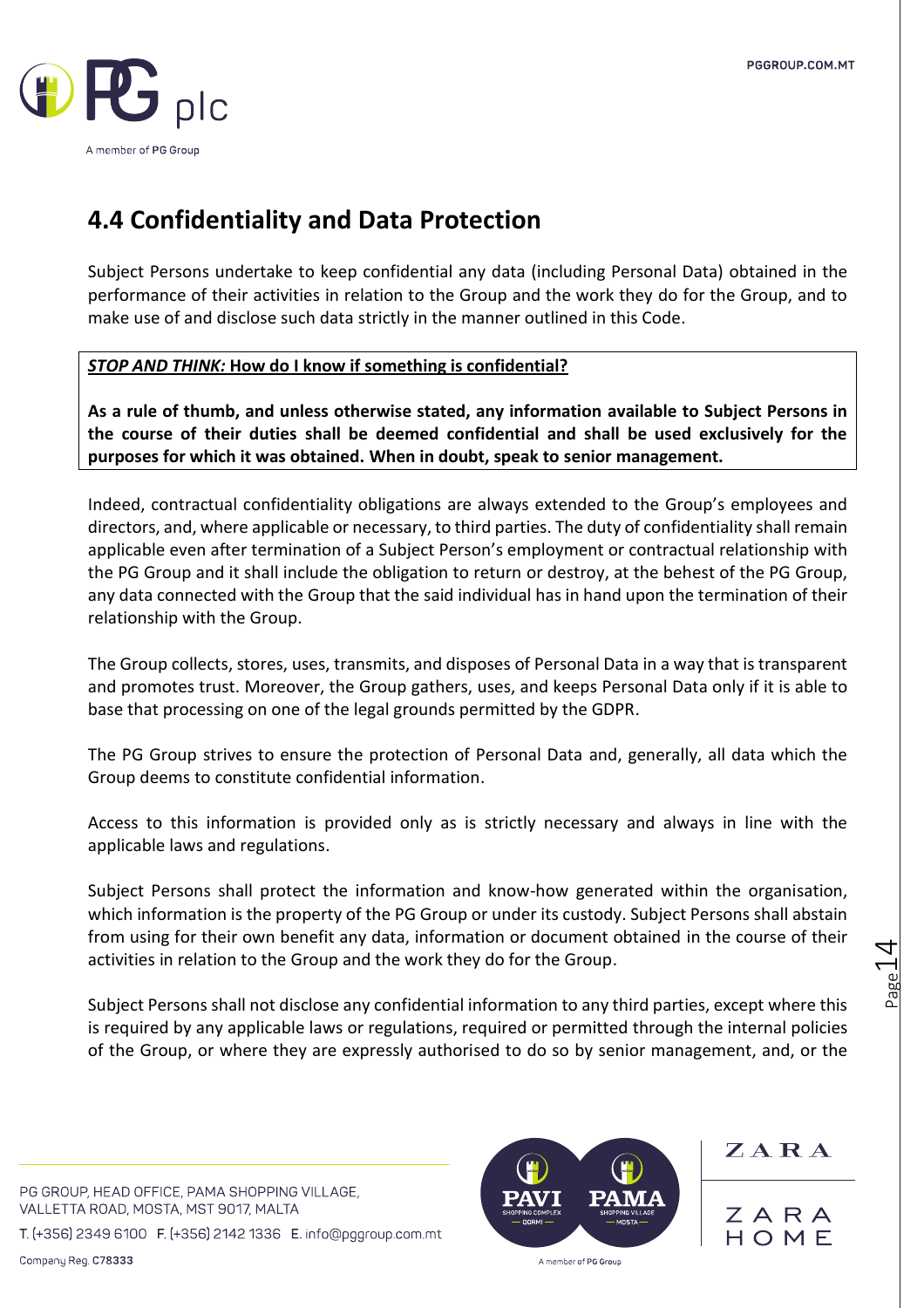

### **4.4 Confidentiality and Data Protection**

Subject Persons undertake to keep confidential any data (including Personal Data) obtained in the performance of their activities in relation to the Group and the work they do for the Group, and to make use of and disclose such data strictly in the manner outlined in this Code.

### *STOP AND THINK:* **How do I know if something is confidential?**

**As a rule of thumb, and unless otherwise stated, any information available to Subject Persons in the course of their duties shall be deemed confidential and shall be used exclusively for the purposes for which it was obtained. When in doubt, speak to senior management.** 

Indeed, contractual confidentiality obligations are always extended to the Group's employees and directors, and, where applicable or necessary, to third parties. The duty of confidentiality shall remain applicable even after termination of a Subject Person's employment or contractual relationship with the PG Group and it shall include the obligation to return or destroy, at the behest of the PG Group, any data connected with the Group that the said individual has in hand upon the termination of their relationship with the Group.

The Group collects, stores, uses, transmits, and disposes of Personal Data in a way that is transparent and promotes trust. Moreover, the Group gathers, uses, and keeps Personal Data only if it is able to base that processing on one of the legal grounds permitted by the GDPR.

The PG Group strives to ensure the protection of Personal Data and, generally, all data which the Group deems to constitute confidential information.

Access to this information is provided only as is strictly necessary and always in line with the applicable laws and regulations.

Subject Persons shall protect the information and know-how generated within the organisation, which information is the property of the PG Group or under its custody. Subject Persons shall abstain from using for their own benefit any data, information or document obtained in the course of their activities in relation to the Group and the work they do for the Group.

Subject Persons shall not disclose any confidential information to any third parties, except where this is required by any applicable laws or regulations, required or permitted through the internal policies of the Group, or where they are expressly authorised to do so by senior management, and, or the

PG GROUP, HEAD OFFICE, PAMA SHOPPING VILLAGE, VALLETTA ROAD, MOSTA, MST 9017, MALTA

T. (+356) 2349 6100 F. (+356) 2142 1336 E. info@pggroup.com.mt



ZARA

ZARA HOME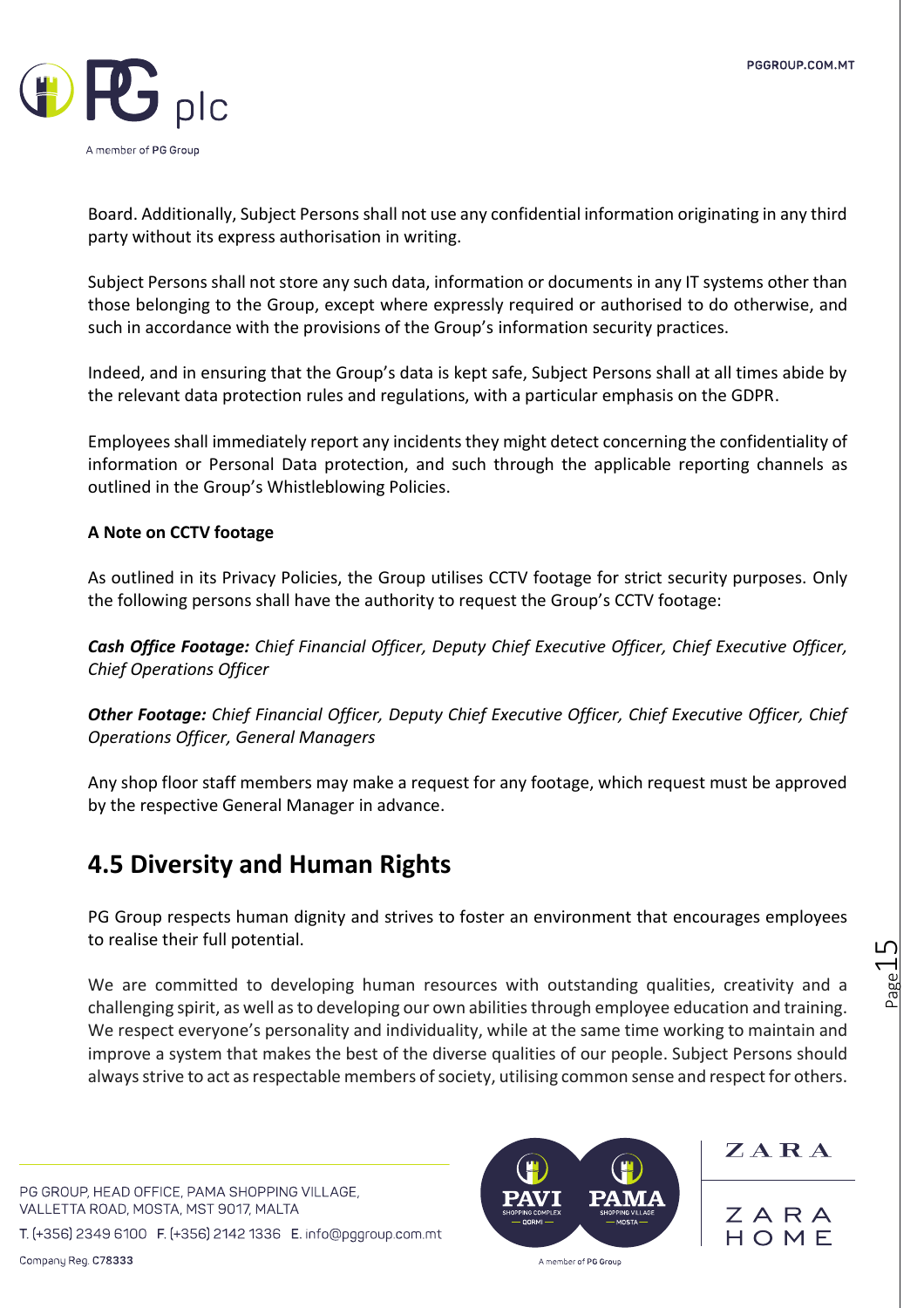

Board. Additionally, Subject Persons shall not use any confidential information originating in any third party without its express authorisation in writing.

Subject Persons shall not store any such data, information or documents in any IT systems other than those belonging to the Group, except where expressly required or authorised to do otherwise, and such in accordance with the provisions of the Group's information security practices.

Indeed, and in ensuring that the Group's data is kept safe, Subject Persons shall at all times abide by the relevant data protection rules and regulations, with a particular emphasis on the GDPR.

Employees shall immediately report any incidentsthey might detect concerning the confidentiality of information or Personal Data protection, and such through the applicable reporting channels as outlined in the Group's Whistleblowing Policies.

### **A Note on CCTV footage**

As outlined in its Privacy Policies, the Group utilises CCTV footage for strict security purposes. Only the following persons shall have the authority to request the Group's CCTV footage:

*Cash Office Footage: Chief Financial Officer, Deputy Chief Executive Officer, Chief Executive Officer, Chief Operations Officer* 

*Other Footage: Chief Financial Officer, Deputy Chief Executive Officer, Chief Executive Officer, Chief Operations Officer, General Managers* 

Any shop floor staff members may make a request for any footage, which request must be approved by the respective General Manager in advance.

### **4.5 Diversity and Human Rights**

PG Group respects human dignity and strives to foster an environment that encourages employees to realise their full potential.

We are committed to developing human resources with outstanding qualities, creativity and a challenging spirit, as well asto developing our own abilitiesthrough employee education and training. We respect everyone's personality and individuality, while at the same time working to maintain and improve a system that makes the best of the diverse qualities of our people. Subject Persons should always strive to act as respectable members of society, utilising common sense and respect for others.

PG GROUP, HEAD OFFICE, PAMA SHOPPING VILLAGE, VALLETTA ROAD, MOSTA, MST 9017, MALTA

T. (+356) 2349 6100 F. (+356) 2142 1336 E. info@pggroup.com.mt



 $Z A R A$ 

ZARA HOME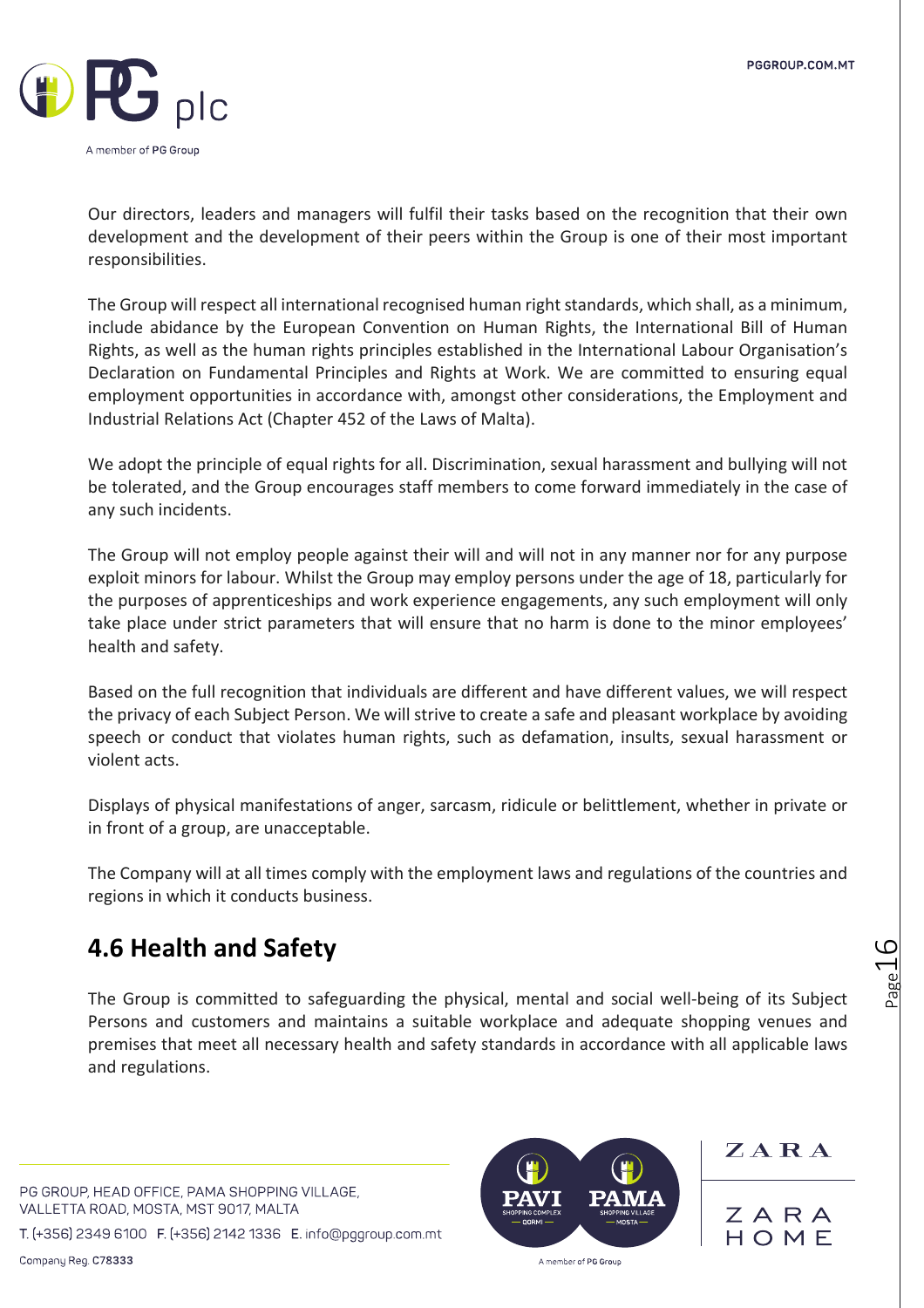

Our directors, leaders and managers will fulfil their tasks based on the recognition that their own development and the development of their peers within the Group is one of their most important responsibilities.

The Group will respect all international recognised human right standards, which shall, as a minimum, include abidance by the European Convention on Human Rights, the International Bill of Human Rights, as well as the human rights principles established in the International Labour Organisation's Declaration on Fundamental Principles and Rights at Work. We are committed to ensuring equal employment opportunities in accordance with, amongst other considerations, the Employment and Industrial Relations Act (Chapter 452 of the Laws of Malta).

We adopt the principle of equal rights for all. Discrimination, sexual harassment and bullying will not be tolerated, and the Group encourages staff members to come forward immediately in the case of any such incidents.

The Group will not employ people against their will and will not in any manner nor for any purpose exploit minors for labour. Whilst the Group may employ persons under the age of 18, particularly for the purposes of apprenticeships and work experience engagements, any such employment will only take place under strict parameters that will ensure that no harm is done to the minor employees' health and safety.

Based on the full recognition that individuals are different and have different values, we will respect the privacy of each Subject Person. We will strive to create a safe and pleasant workplace by avoiding speech or conduct that violates human rights, such as defamation, insults, sexual harassment or violent acts.

Displays of physical manifestations of anger, sarcasm, ridicule or belittlement, whether in private or in front of a group, are unacceptable.

The Company will at all times comply with the employment laws and regulations of the countries and regions in which it conducts business.

### **4.6 Health and Safety**

The Group is committed to safeguarding the physical, mental and social well-being of its Subject Persons and customers and maintains a suitable workplace and adequate shopping venues and premises that meet all necessary health and safety standards in accordance with all applicable laws and regulations.

PG GROUP, HEAD OFFICE, PAMA SHOPPING VILLAGE, VALLETTA ROAD, MOSTA, MST 9017, MALTA

T. (+356) 2349 6100 F. (+356) 2142 1336 E. info@pggroup.com.mt



ZARA

ZARA HOME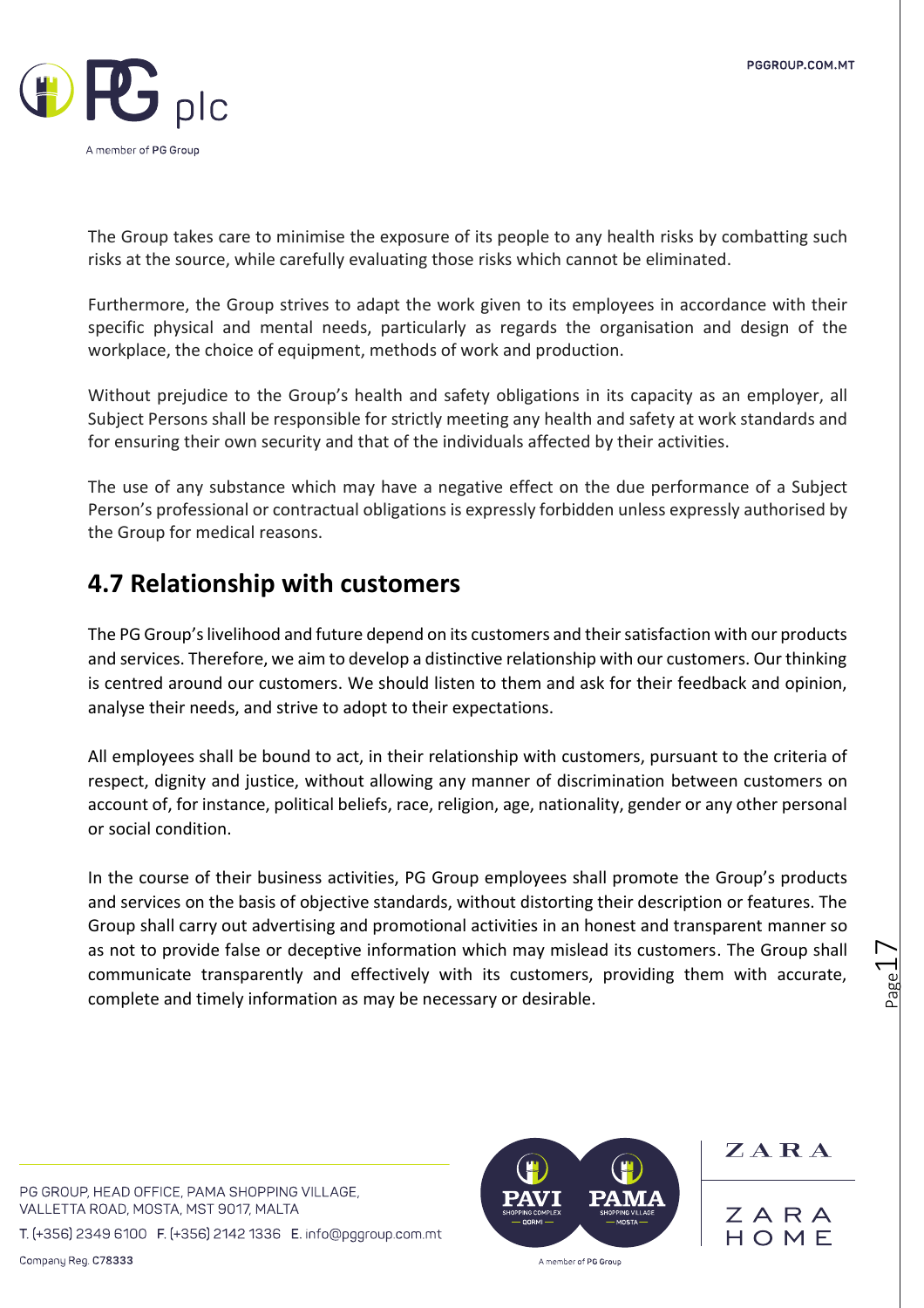

The Group takes care to minimise the exposure of its people to any health risks by combatting such risks at the source, while carefully evaluating those risks which cannot be eliminated.

Furthermore, the Group strives to adapt the work given to its employees in accordance with their specific physical and mental needs, particularly as regards the organisation and design of the workplace, the choice of equipment, methods of work and production.

Without prejudice to the Group's health and safety obligations in its capacity as an employer, all Subject Persons shall be responsible for strictly meeting any health and safety at work standards and for ensuring their own security and that of the individuals affected by their activities.

The use of any substance which may have a negative effect on the due performance of a Subject Person's professional or contractual obligations is expressly forbidden unless expressly authorised by the Group for medical reasons.

### **4.7 Relationship with customers**

The PG Group's livelihood and future depend on its customers and their satisfaction with our products and services. Therefore, we aim to develop a distinctive relationship with our customers. Our thinking is centred around our customers. We should listen to them and ask for their feedback and opinion, analyse their needs, and strive to adopt to their expectations.

All employees shall be bound to act, in their relationship with customers, pursuant to the criteria of respect, dignity and justice, without allowing any manner of discrimination between customers on account of, for instance, political beliefs, race, religion, age, nationality, gender or any other personal or social condition.

In the course of their business activities, PG Group employees shall promote the Group's products and services on the basis of objective standards, without distorting their description or features. The Group shall carry out advertising and promotional activities in an honest and transparent manner so as not to provide false or deceptive information which may mislead its customers. The Group shall communicate transparently and effectively with its customers, providing them with accurate, complete and timely information as may be necessary or desirable.

PG GROUP, HEAD OFFICE, PAMA SHOPPING VILLAGE, VALLETTA ROAD, MOSTA, MST 9017, MALTA

T. (+356) 2349 6100 F. (+356) 2142 1336 E. info@pggroup.com.mt

Company Reg. C78333



ZARA

ZARA HOMF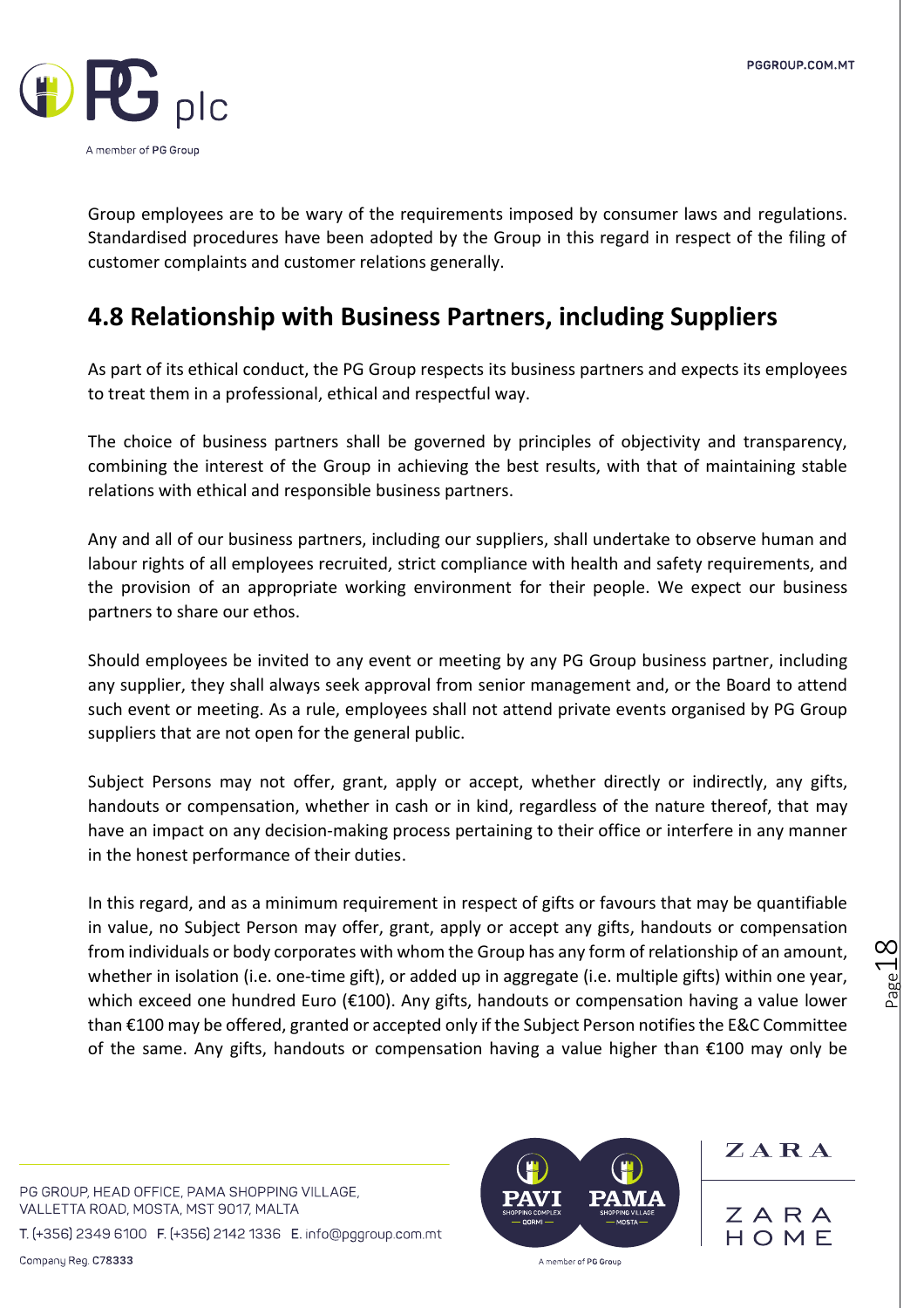

Group employees are to be wary of the requirements imposed by consumer laws and regulations. Standardised procedures have been adopted by the Group in this regard in respect of the filing of customer complaints and customer relations generally.

### **4.8 Relationship with Business Partners, including Suppliers**

As part of its ethical conduct, the PG Group respects its business partners and expects its employees to treat them in a professional, ethical and respectful way.

The choice of business partners shall be governed by principles of objectivity and transparency, combining the interest of the Group in achieving the best results, with that of maintaining stable relations with ethical and responsible business partners.

Any and all of our business partners, including our suppliers, shall undertake to observe human and labour rights of all employees recruited, strict compliance with health and safety requirements, and the provision of an appropriate working environment for their people. We expect our business partners to share our ethos.

Should employees be invited to any event or meeting by any PG Group business partner, including any supplier, they shall always seek approval from senior management and, or the Board to attend such event or meeting. As a rule, employees shall not attend private events organised by PG Group suppliers that are not open for the general public.

Subject Persons may not offer, grant, apply or accept, whether directly or indirectly, any gifts, handouts or compensation, whether in cash or in kind, regardless of the nature thereof, that may have an impact on any decision-making process pertaining to their office or interfere in any manner in the honest performance of their duties.

In this regard, and as a minimum requirement in respect of gifts or favours that may be quantifiable in value, no Subject Person may offer, grant, apply or accept any gifts, handouts or compensation from individuals or body corporates with whom the Group has any form of relationship of an amount, whether in isolation (i.e. one-time gift), or added up in aggregate (i.e. multiple gifts) within one year, which exceed one hundred Euro (€100). Any gifts, handouts or compensation having a value lower than €100 may be offered, granted or accepted only if the Subject Person notifies the E&C Committee of the same. Any gifts, handouts or compensation having a value higher than €100 may only be

PG GROUP, HEAD OFFICE, PAMA SHOPPING VILLAGE, VALLETTA ROAD, MOSTA, MST 9017, MALTA

T. (+356) 2349 6100 F. (+356) 2142 1336 E. info@pggroup.com.mt

Company Reg. C78333



 $Z A R A$ 

ZAR  $H \cap M F$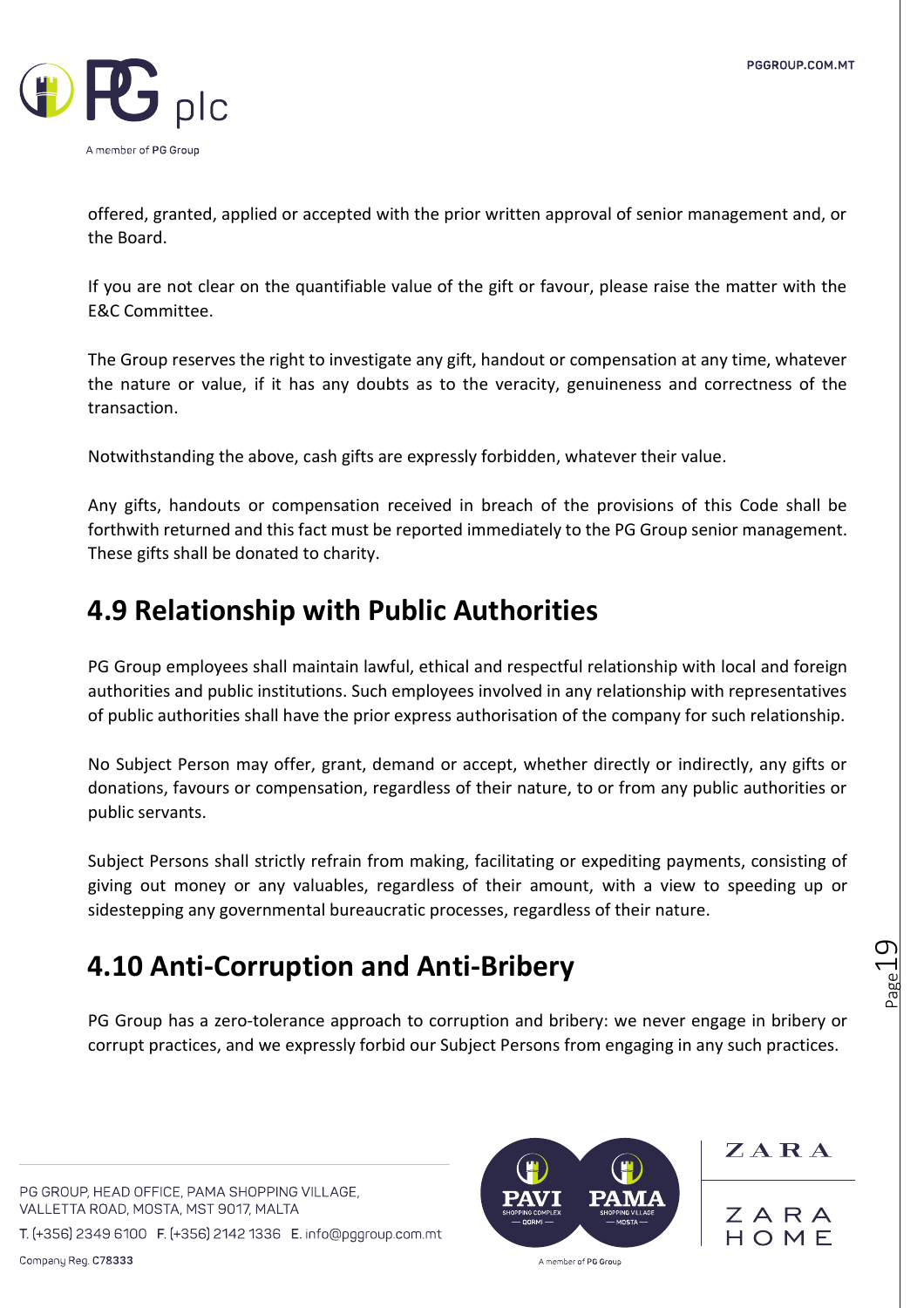

offered, granted, applied or accepted with the prior written approval of senior management and, or the Board.

If you are not clear on the quantifiable value of the gift or favour, please raise the matter with the E&C Committee.

The Group reserves the right to investigate any gift, handout or compensation at any time, whatever the nature or value, if it has any doubts as to the veracity, genuineness and correctness of the transaction.

Notwithstanding the above, cash gifts are expressly forbidden, whatever their value.

Any gifts, handouts or compensation received in breach of the provisions of this Code shall be forthwith returned and this fact must be reported immediately to the PG Group senior management. These gifts shall be donated to charity.

## **4.9 Relationship with Public Authorities**

PG Group employees shall maintain lawful, ethical and respectful relationship with local and foreign authorities and public institutions. Such employees involved in any relationship with representatives of public authorities shall have the prior express authorisation of the company for such relationship.

No Subject Person may offer, grant, demand or accept, whether directly or indirectly, any gifts or donations, favours or compensation, regardless of their nature, to or from any public authorities or public servants.

Subject Persons shall strictly refrain from making, facilitating or expediting payments, consisting of giving out money or any valuables, regardless of their amount, with a view to speeding up or sidestepping any governmental bureaucratic processes, regardless of their nature.

## **4.10 Anti-Corruption and Anti-Bribery**

PG Group has a zero-tolerance approach to corruption and bribery: we never engage in bribery or corrupt practices, and we expressly forbid our Subject Persons from engaging in any such practices.

PG GROUP, HEAD OFFICE, PAMA SHOPPING VILLAGE, VALLETTA ROAD, MOSTA, MST 9017, MALTA

T. (+356) 2349 6100 F. (+356) 2142 1336 E. info@pggroup.com.mt



 $Z A R A$ 

ZARA HOMF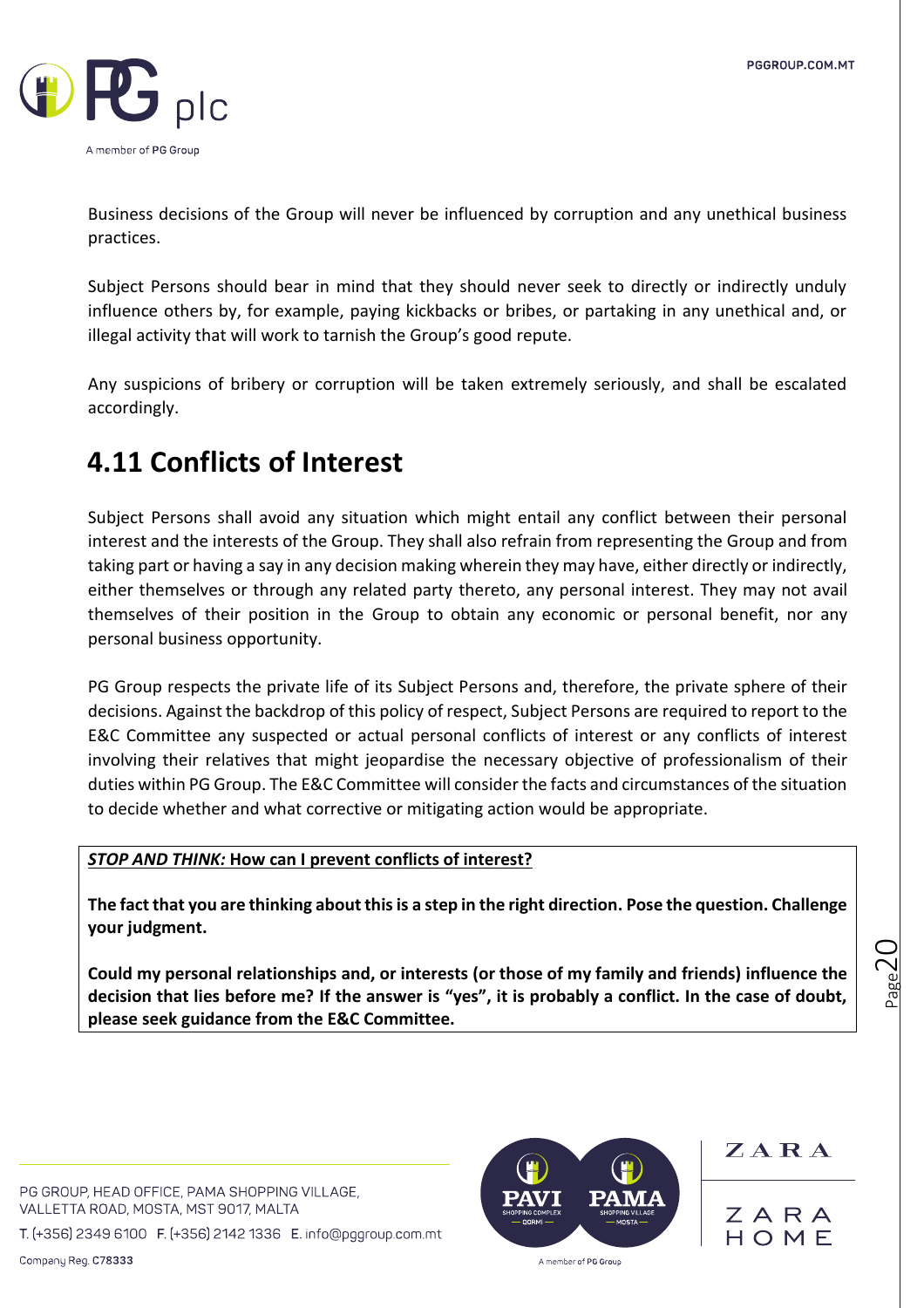

Business decisions of the Group will never be influenced by corruption and any unethical business practices.

Subject Persons should bear in mind that they should never seek to directly or indirectly unduly influence others by, for example, paying kickbacks or bribes, or partaking in any unethical and, or illegal activity that will work to tarnish the Group's good repute.

Any suspicions of bribery or corruption will be taken extremely seriously, and shall be escalated accordingly.

## **4.11 Conflicts of Interest**

Subject Persons shall avoid any situation which might entail any conflict between their personal interest and the interests of the Group. They shall also refrain from representing the Group and from taking part or having a say in any decision making wherein they may have, either directly or indirectly, either themselves or through any related party thereto, any personal interest. They may not avail themselves of their position in the Group to obtain any economic or personal benefit, nor any personal business opportunity.

PG Group respects the private life of its Subject Persons and, therefore, the private sphere of their decisions. Against the backdrop of this policy of respect, Subject Persons are required to report to the E&C Committee any suspected or actual personal conflicts of interest or any conflicts of interest involving their relatives that might jeopardise the necessary objective of professionalism of their duties within PG Group. The E&C Committee will consider the facts and circumstances of the situation to decide whether and what corrective or mitigating action would be appropriate.

### *STOP AND THINK:* **How can I prevent conflicts of interest?**

**The fact that you are thinking about this is a step in the right direction. Pose the question. Challenge your judgment.** 

**Could my personal relationships and, or interests (or those of my family and friends) influence the decision that lies before me? If the answer is "yes", it is probably a conflict. In the case of doubt, please seek guidance from the E&C Committee.** 

 $_{\rm Page}$ 20

PG GROUP, HEAD OFFICE, PAMA SHOPPING VILLAGE, VALLETTA ROAD, MOSTA, MST 9017, MALTA

T. (+356) 2349 6100 F. (+356) 2142 1336 E. info@pggroup.com.mt



ZARA

ZARA HOME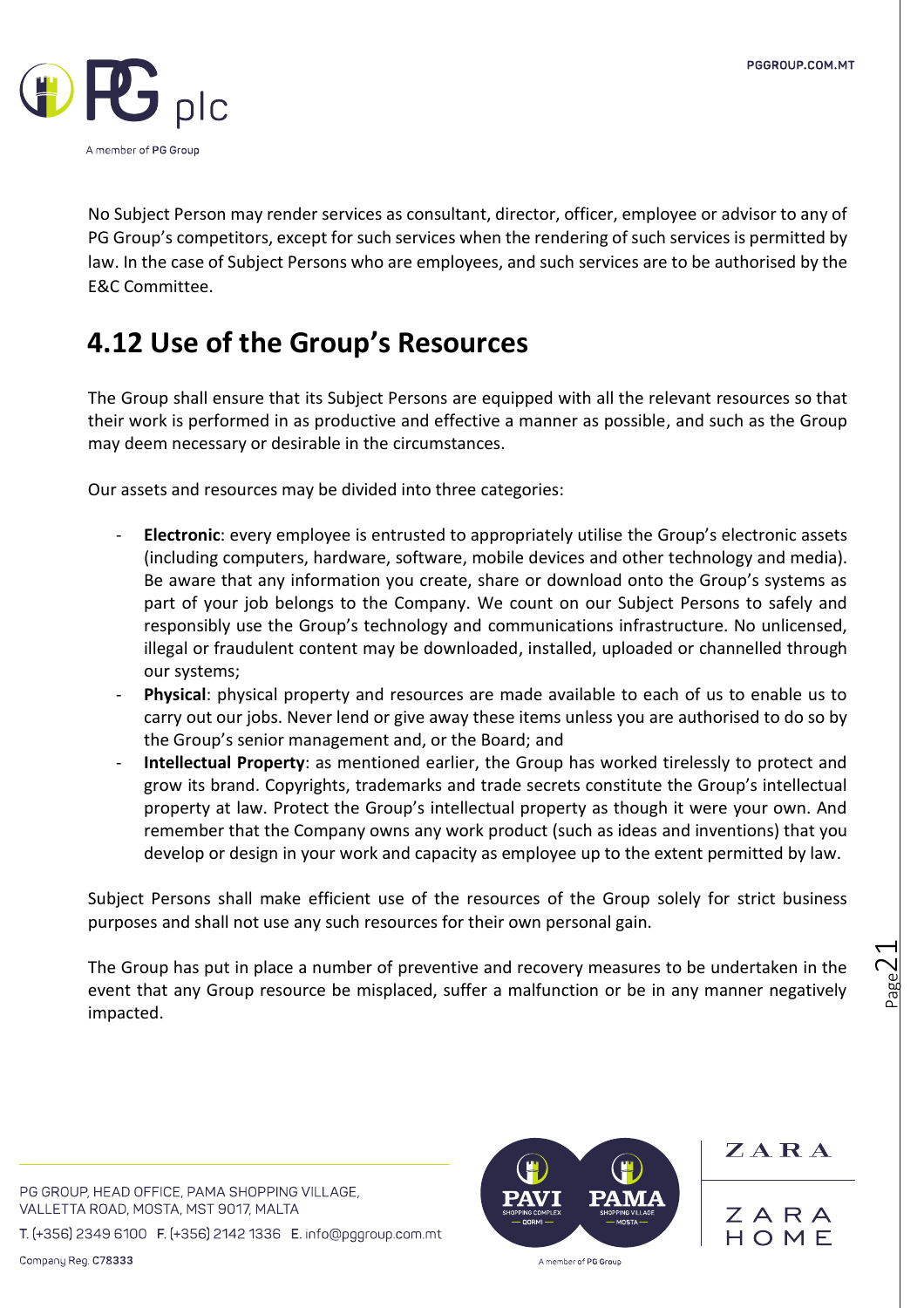

No Subject Person may render services as consultant, director, officer, employee or advisor to any of PG Group's competitors, except for such services when the rendering of such services is permitted by law. In the case of Subject Persons who are employees, and such services are to be authorised by the E&C Committee.

## **4.12 Use of the Group's Resources**

The Group shall ensure that its Subject Persons are equipped with all the relevant resources so that their work is performed in as productive and effective a manner as possible, and such as the Group may deem necessary or desirable in the circumstances.

Our assets and resources may be divided into three categories:

- **Electronic**: every employee is entrusted to appropriately utilise the Group's electronic assets (including computers, hardware, software, mobile devices and other technology and media). Be aware that any information you create, share or download onto the Group's systems as part of your job belongs to the Company. We count on our Subject Persons to safely and responsibly use the Group's technology and communications infrastructure. No unlicensed, illegal or fraudulent content may be downloaded, installed, uploaded or channelled through our systems;
- **Physical:** physical property and resources are made available to each of us to enable us to carry out our jobs. Never lend or give away these items unless you are authorised to do so by the Group's senior management and, or the Board; and
- **Intellectual Property**: as mentioned earlier, the Group has worked tirelessly to protect and grow its brand. Copyrights, trademarks and trade secrets constitute the Group's intellectual property at law. Protect the Group's intellectual property as though it were your own. And remember that the Company owns any work product (such as ideas and inventions) that you develop or design in your work and capacity as employee up to the extent permitted by law.

Subject Persons shall make efficient use of the resources of the Group solely for strict business purposes and shall not use any such resources for their own personal gain.

The Group has put in place a number of preventive and recovery measures to be undertaken in the event that any Group resource be misplaced, suffer a malfunction or be in any manner negatively impacted.

PG GROUP, HEAD OFFICE, PAMA SHOPPING VILLAGE, VALLETTA ROAD, MOSTA, MST 9017, MALTA

T. (+356) 2349 6100 F. (+356) 2142 1336 E. info@pggroup.com.mt



ZARA

ZARA HOME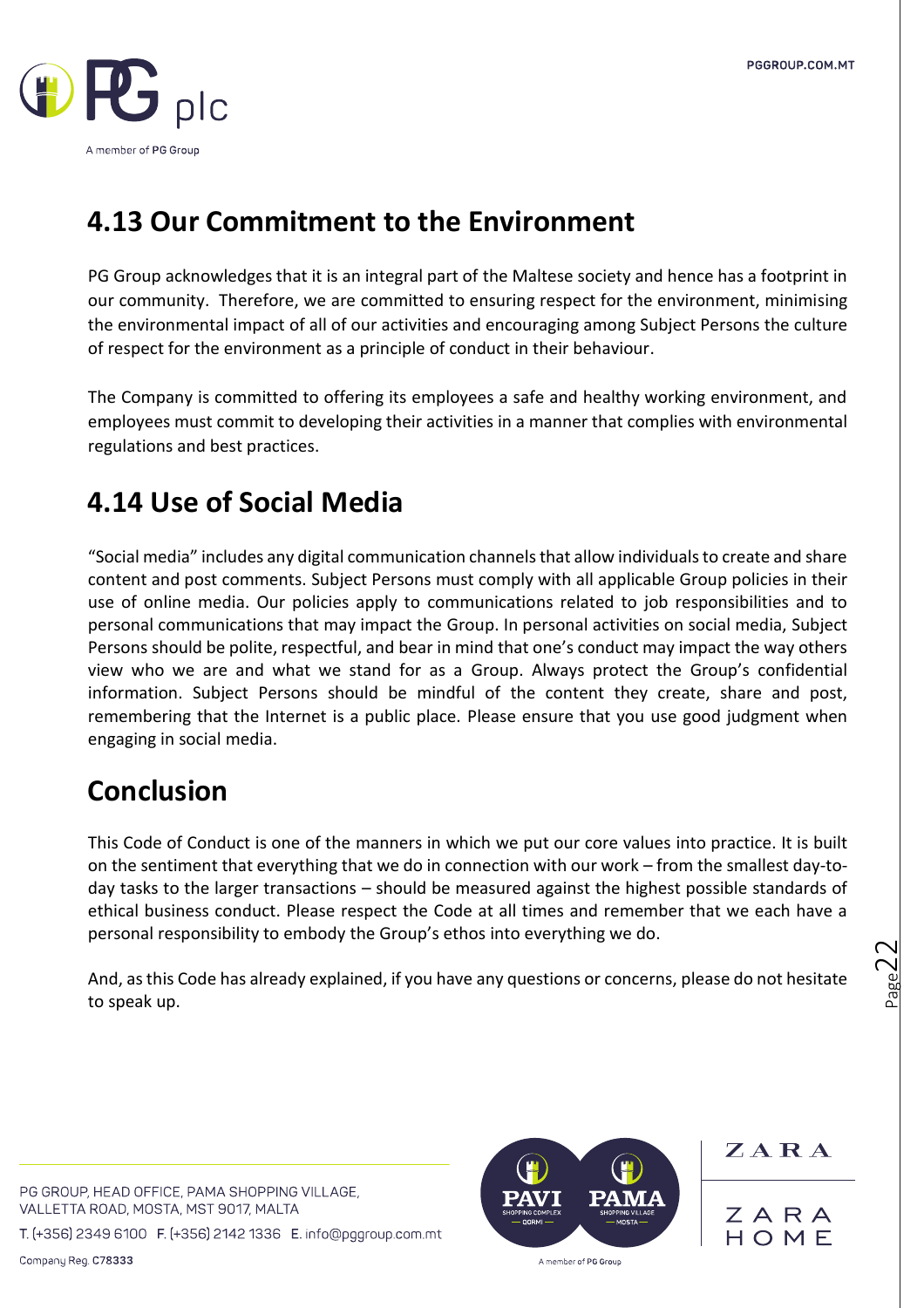

## **4.13 Our Commitment to the Environment**

PG Group acknowledges that it is an integral part of the Maltese society and hence has a footprint in our community. Therefore, we are committed to ensuring respect for the environment, minimising the environmental impact of all of our activities and encouraging among Subject Persons the culture of respect for the environment as a principle of conduct in their behaviour.

The Company is committed to offering its employees a safe and healthy working environment, and employees must commit to developing their activities in a manner that complies with environmental regulations and best practices.

## **4.14 Use of Social Media**

"Social media" includes any digital communication channels that allow individuals to create and share content and post comments. Subject Persons must comply with all applicable Group policies in their use of online media. Our policies apply to communications related to job responsibilities and to personal communications that may impact the Group. In personal activities on social media, Subject Persons should be polite, respectful, and bear in mind that one's conduct may impact the way others view who we are and what we stand for as a Group. Always protect the Group's confidential information. Subject Persons should be mindful of the content they create, share and post, remembering that the Internet is a public place. Please ensure that you use good judgment when engaging in social media.

## **Conclusion**

This Code of Conduct is one of the manners in which we put our core values into practice. It is built on the sentiment that everything that we do in connection with our work – from the smallest day-today tasks to the larger transactions – should be measured against the highest possible standards of ethical business conduct. Please respect the Code at all times and remember that we each have a personal responsibility to embody the Group's ethos into everything we do.

And, as this Code has already explained, if you have any questions or concerns, please do not hesitate to speak up.

 $_{\rm Page}$ 22

ZARA

ZARA

HOME

PG GROUP, HEAD OFFICE, PAMA SHOPPING VILLAGE, VALLETTA ROAD, MOSTA, MST 9017, MALTA

T. (+356) 2349 6100 F. (+356) 2142 1336 E. info@pggroup.com.mt

Company Reg. C78333

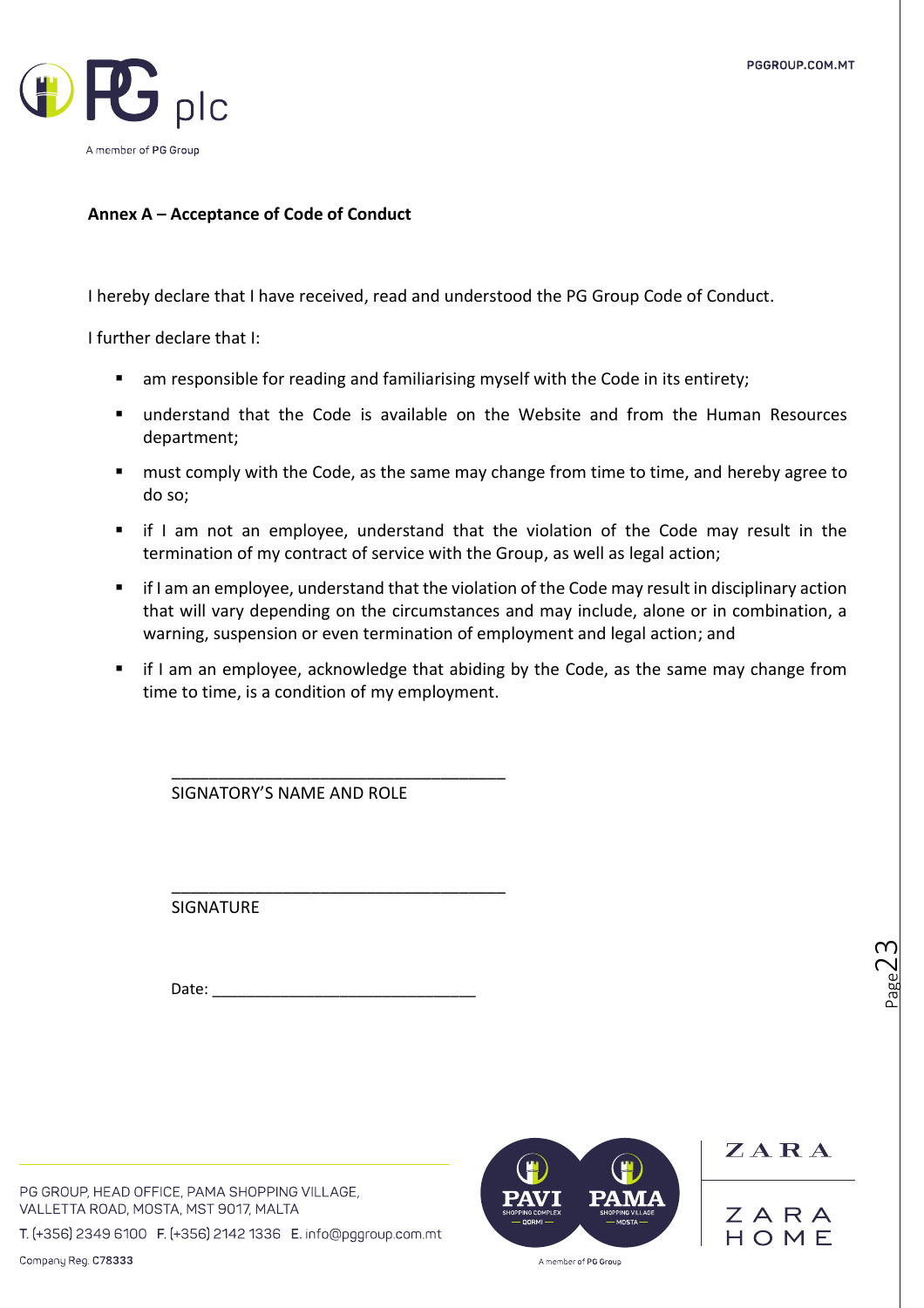

#### **Annex A – Acceptance of Code of Conduct**

I hereby declare that I have received, read and understood the PG Group Code of Conduct.

I further declare that I:

- am responsible for reading and familiarising myself with the Code in its entirety;
- understand that the Code is available on the Website and from the Human Resources department;
- must comply with the Code, as the same may change from time to time, and hereby agree to do so;
- if I am not an employee, understand that the violation of the Code may result in the termination of my contract of service with the Group, as well as legal action;
- if I am an employee, understand that the violation of the Code may result in disciplinary action that will vary depending on the circumstances and may include, alone or in combination, a warning, suspension or even termination of employment and legal action; and
- if I am an employee, acknowledge that abiding by the Code, as the same may change from time to time, is a condition of my employment.

\_\_\_\_\_\_\_\_\_\_\_\_\_\_\_\_\_\_\_\_\_\_\_\_\_\_\_\_\_\_\_\_\_\_\_\_ SIGNATORY'S NAME AND ROLE

\_\_\_\_\_\_\_\_\_\_\_\_\_\_\_\_\_\_\_\_\_\_\_\_\_\_\_\_\_\_\_\_\_\_\_\_ SIGNATURE

Date:

PG GROUP, HEAD OFFICE, PAMA SHOPPING VILLAGE, VALLETTA ROAD, MOSTA, MST 9017, MALTA

T. (+356) 2349 6100 F. (+356) 2142 1336 E. info@pggroup.com.mt



ZARA ZARA HOMF